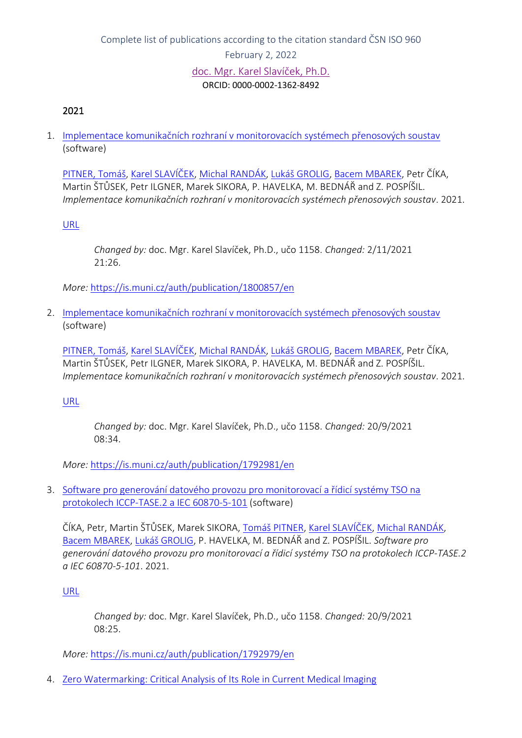### 2021

1. [Implementace komunikačních rozhraní v monitorovacích systémech přenosových soustav](https://is.muni.cz/auth/publication/1800857/en?lang=en) (software)

[PITNER, Tomáš](https://is.muni.cz/auth/person/94?lang=en), [Karel SLAVÍČEK](https://is.muni.cz/auth/person/1158?lang=en), [Michal RANDÁK](https://is.muni.cz/auth/person/487553?lang=en), [Lukáš GROLIG](https://is.muni.cz/auth/person/325217?lang=en), [Bacem MBAREK](https://is.muni.cz/auth/person/242111?lang=en), Petr ČÍKA, Martin ŠTŮSEK, Petr ILGNER, Marek SIKORA, P. HAVELKA, M. BEDNÁŘ and Z. POSPÍŠIL. *Implementace komunikačních rozhraní v monitorovacích systémech přenosových soustav*. 2021.

[URL](https://www.utko.fekt.vut.cz/architektura-systemu-pro-zabezpeceny-real-time-monitoring-energetickych-soustav)

*Changed by:* doc. Mgr. Karel Slavíček, Ph.D., učo 1158. *Changed:* 2/11/2021 21:26.

*More:* [https://is.muni.cz/auth/publication/1800857/en](https://is.muni.cz/auth/publication/1800857/en/Implementace-komunikacnich-rozhrani-v-monitorovacich-systemech-prenosovych-soustav/Pitner-Slavicek-Randak-Grolig?lang=en)

2. [Implementace komunikačních rozhraní v monitorovacích systémech přenosových soustav](https://is.muni.cz/auth/publication/1792981/en?lang=en) (software)

[PITNER, Tomáš](https://is.muni.cz/auth/person/94?lang=en), [Karel SLAVÍČEK](https://is.muni.cz/auth/person/1158?lang=en), [Michal RANDÁK](https://is.muni.cz/auth/person/487553?lang=en), [Lukáš GROLIG](https://is.muni.cz/auth/person/325217?lang=en), [Bacem MBAREK](https://is.muni.cz/auth/person/242111?lang=en), Petr ČÍKA, Martin ŠTŮSEK, Petr ILGNER, Marek SIKORA, P. HAVELKA, M. BEDNÁŘ and Z. POSPÍŠIL. *Implementace komunikačních rozhraní v monitorovacích systémech přenosových soustav*. 2021.

[URL](https://www.utko.fekt.vut.cz/architektura-systemu-pro-zabezpeceny-real-time-monitoring-energetickych-soustav)

*Changed by:* doc. Mgr. Karel Slavíček, Ph.D., učo 1158. *Changed:* 20/9/2021 08:34.

*More:* [https://is.muni.cz/auth/publication/1792981/en](https://is.muni.cz/auth/publication/1792981/en/Implementace-komunikacnich-rozhrani-v-monitorovacich-systemech-prenosovych-soustav/Pitner-Slavicek-Randak-Grolig?lang=en)

3. [Software pro generování datového provozu pro monitorovací a řídicí systémy TSO na](https://is.muni.cz/auth/publication/1792979/en?lang=en)  [protokolech ICCP-TASE.2 a IEC 60870-5-101](https://is.muni.cz/auth/publication/1792979/en?lang=en) (software)

ČÍKA, Petr, Martin ŠTŮSEK, Marek SIKORA, [Tomáš PITNER](https://is.muni.cz/auth/person/94?lang=en), [Karel SLAVÍČEK](https://is.muni.cz/auth/person/1158?lang=en), [Michal RANDÁK](https://is.muni.cz/auth/person/487553?lang=en), [Bacem MBAREK,](https://is.muni.cz/auth/person/242111?lang=en) [Lukáš GROLIG,](https://is.muni.cz/auth/person/325217?lang=en) P. HAVELKA, M. BEDNÁŘ and Z. POSPÍŠIL. *Software pro generování datového provozu pro monitorovací a řídicí systémy TSO na protokolech ICCP-TASE.2 a IEC 60870-5-101*. 2021.

[URL](https://www.utko.fekt.vut.cz/architektura-systemu-pro-zabezpeceny-real-time-monitoring-energetickych-soustav)

*Changed by:* doc. Mgr. Karel Slavíček, Ph.D., učo 1158. *Changed:* 20/9/2021 08:25.

*More:* [https://is.muni.cz/auth/publication/1792979/en](https://is.muni.cz/auth/publication/1792979/en/Cika-Stusek-Sikora-Pitner?lang=en)

4. [Zero Watermarking: Critical Analysis of Its Role in Current Medical Imaging](https://is.muni.cz/auth/publication/1734016/en?lang=en)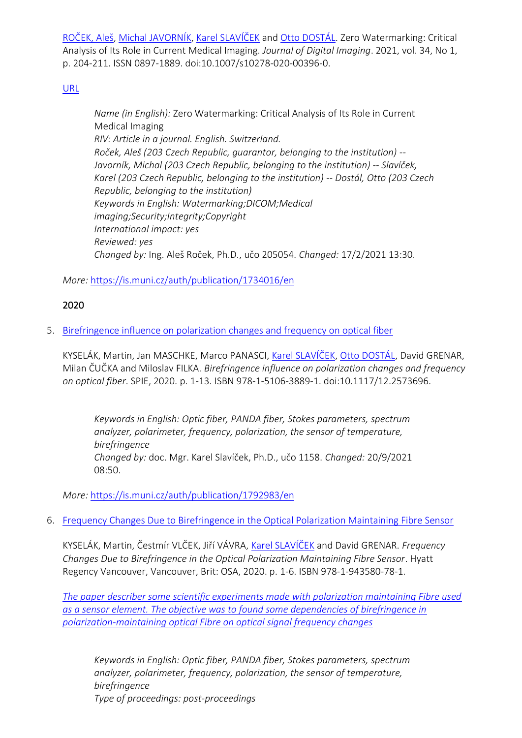[ROČEK, Aleš](https://is.muni.cz/auth/person/205054?lang=en), [Michal JAVORNÍK](https://is.muni.cz/auth/person/1111?lang=en), [Karel SLAVÍČEK](https://is.muni.cz/auth/person/1158?lang=en) and [Otto DOSTÁL](https://is.muni.cz/auth/person/2535?lang=en). Zero Watermarking: Critical Analysis of Its Role in Current Medical Imaging. *Journal of Digital Imaging*. 2021, vol. 34, No 1, p. 204-211. ISSN 0897-1889. doi:10.1007/s10278-020-00396-0.

# [URL](https://link.springer.com/article/10.1007/s10278-020-00396-0)

*Name (in English):* Zero Watermarking: Critical Analysis of Its Role in Current Medical Imaging *RIV: Article in a journal. English. Switzerland. Roček, Aleš (203 Czech Republic, guarantor, belonging to the institution) -- Javorník, Michal (203 Czech Republic, belonging to the institution) -- Slavíček, Karel (203 Czech Republic, belonging to the institution) -- Dostál, Otto (203 Czech Republic, belonging to the institution) Keywords in English: Watermarking;DICOM;Medical imaging;Security;Integrity;Copyright International impact: yes Reviewed: yes Changed by:* Ing. Aleš Roček, Ph.D., učo 205054. *Changed:* 17/2/2021 13:30.

*More:* [https://is.muni.cz/auth/publication/1734016/en](https://is.muni.cz/auth/publication/1734016/en/Zero-Watermarking-Critical-Analysis-of-Its-Role-in-Current-Medical-Imaging/Rocek-Javornik-Slavicek-Dostal?lang=en)

# 2020

5. [Birefringence influence on polarization changes and frequency on optical fiber](https://is.muni.cz/auth/publication/1792983/en?lang=en)

KYSELÁK, Martin, Jan MASCHKE, Marco PANASCI, [Karel SLAVÍČEK](https://is.muni.cz/auth/person/1158?lang=en), [Otto DOSTÁL](https://is.muni.cz/auth/person/2535?lang=en), David GRENAR, Milan ČUČKA and Miloslav FILKA. *Birefringence influence on polarization changes and frequency on optical fiber*. SPIE, 2020. p. 1-13. ISBN 978-1-5106-3889-1. doi:10.1117/12.2573696.

*Keywords in English: Optic fiber, PANDA fiber, Stokes parameters, spectrum analyzer, polarimeter, frequency, polarization, the sensor of temperature, birefringence Changed by:* doc. Mgr. Karel Slavíček, Ph.D., učo 1158. *Changed:* 20/9/2021 08:50.

*More:* [https://is.muni.cz/auth/publication/1792983/en](https://is.muni.cz/auth/publication/1792983/en/Birefringence-influence-on-polarization-changes-and-frequency-on-optical-fiber/Kyselak-Maschke-Panasci-Slavicek?lang=en)

6. [Frequency Changes Due to Birefringence in the Optical Polarization Maintaining Fibre Sensor](https://is.muni.cz/auth/publication/1808577/en?lang=en)

KYSELÁK, Martin, Čestmír VLČEK, Jiří VÁVRA, [Karel SLAVÍČEK](https://is.muni.cz/auth/person/1158?lang=en) and David GRENAR. *Frequency Changes Due to Birefringence in the Optical Polarization Maintaining Fibre Sensor*. Hyatt Regency Vancouver, Vancouver, Brit: OSA, 2020. p. 1-6. ISBN 978-1-943580-78-1.

*The [paper describer some scientific experiments made with polarization maintaining Fibre used](https://www.osa.org/en-us/meetings/osa_meetings/optical_sensors_and_sensing_congress/)  [as a sensor element. The objective was to found some dependencies of birefringence in](https://www.osa.org/en-us/meetings/osa_meetings/optical_sensors_and_sensing_congress/)  [polarization-maintaining optical Fibre on optical signal frequency changes](https://www.osa.org/en-us/meetings/osa_meetings/optical_sensors_and_sensing_congress/)*

*Keywords in English: Optic fiber, PANDA fiber, Stokes parameters, spectrum analyzer, polarimeter, frequency, polarization, the sensor of temperature, birefringence Type of proceedings: post-proceedings*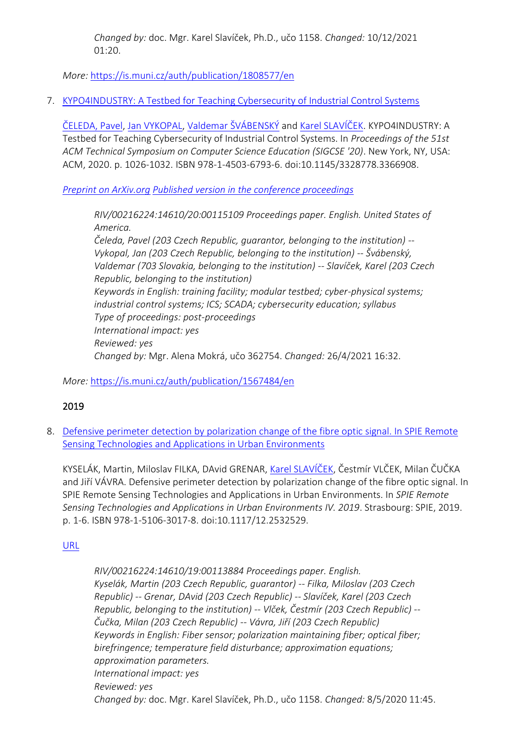*Changed by:* doc. Mgr. Karel Slavíček, Ph.D., učo 1158. *Changed:* 10/12/2021 01:20.

*More:* [https://is.muni.cz/auth/publication/1808577/en](https://is.muni.cz/auth/publication/1808577/en/Frequency-Changes-Due-to-Birefringence-in-the-Optical-Polarization-Maintaining-Fibre-Sensor/Kyselak-Vlcek-Vavra-Slavicek?lang=en)

# 7. [KYPO4INDUSTRY: A Testbed for Teaching Cybersecurity of Industrial Control Systems](https://is.muni.cz/auth/publication/1567484/en?lang=en)

[ČELEDA, Pavel](https://is.muni.cz/auth/person/206086?lang=en), [Jan VYKOPAL,](https://is.muni.cz/auth/person/98724?lang=en) [Valdemar ŠVÁBENSKÝ](https://is.muni.cz/auth/person/395868?lang=en) and [Karel SLAVÍČEK](https://is.muni.cz/auth/person/1158?lang=en). KYPO4INDUSTRY: A Testbed for Teaching Cybersecurity of Industrial Control Systems. In *Proceedings of the 51st ACM Technical Symposium on Computer Science Education (SIGCSE '20)*. New York, NY, USA: ACM, 2020. p. 1026-1032. ISBN 978-1-4503-6793-6. doi:10.1145/3328778.3366908.

*[Preprint on ArXiv.org](https://arxiv.org/abs/2004.11575) [Published version in the conference proceedings](https://dl.acm.org/doi/10.1145/3328778.3366908)*

*RIV/00216224:14610/20:00115109 Proceedings paper. English. United States of America. Čeleda, Pavel (203 Czech Republic, guarantor, belonging to the institution) -- Vykopal, Jan (203 Czech Republic, belonging to the institution) -- Švábenský,* 

*Valdemar (703 Slovakia, belonging to the institution) -- Slavíček, Karel (203 Czech Republic, belonging to the institution) Keywords in English: training facility; modular testbed; cyber-physical systems; industrial control systems; ICS; SCADA; cybersecurity education; syllabus Type of proceedings: post-proceedings International impact: yes Reviewed: yes Changed by:* Mgr. Alena Mokrá, učo 362754. *Changed:* 26/4/2021 16:32.

*More:* [https://is.muni.cz/auth/publication/1567484/en](https://is.muni.cz/auth/publication/1567484/en/KYPO4INDUSTRY-A-Testbed-for-Teaching-Cybersecurity-of-Industrial-Control-Systems/Celeda-Vykopal-Svabensky-Slavicek?lang=en)

# 2019

8. Defensive [perimeter detection by polarization change of the fibre optic signal. In SPIE Remote](https://is.muni.cz/auth/publication/1637217/en?lang=en)  [Sensing Technologies and Applications in Urban Environments](https://is.muni.cz/auth/publication/1637217/en?lang=en)

KYSELÁK, Martin, Miloslav FILKA, DAvid GRENAR, Kar[el SLAVÍČEK,](https://is.muni.cz/auth/person/1158?lang=en) Čestmír VLČEK, Milan ČUČKA and Jiří VÁVRA. Defensive perimeter detection by polarization change of the fibre optic signal. In SPIE Remote Sensing Technologies and Applications in Urban Environments. In *SPIE Remote Sensing Technologies and Applications in Urban Environments IV. 2019*. Strasbourg: SPIE, 2019. p. 1-6. ISBN 978-1-5106-3017-8. doi:10.1117/12.2532529.

# [URL](https://www.spiedigitallibrary.org/conference-proceedings-of-spie/11157/2532529/Defensive-perimeter-detection-by-polarization-change-of-the-fibre-optic/10.1117/12.2532529.short)

*RIV/00216224:14610/19:00113884 Proceedings paper. English. Kyselák, Martin (203 Czech Republic, guarantor) -- Filka, Miloslav (203 Czech Republic) -- Grenar, DAvid (203 Czech Republic) -- Slavíček, Karel (203 Czech Republic, belonging to the institution) -- Vlček, Čestmír (203 Czech Republic) -- Čučka, Milan (203 Czech Republic) -- Vávra, Jiří (203 Czech Republic) Keywords in English: Fiber sensor; polarization maintaining fiber; optical fiber; birefringence; temperature field disturbance; approximation equations; approximation parameters. International impact: yes Reviewed: yes Changed by:* doc. Mgr. Karel Slavíček, Ph.D., učo 1158. *Changed:* 8/5/2020 11:45.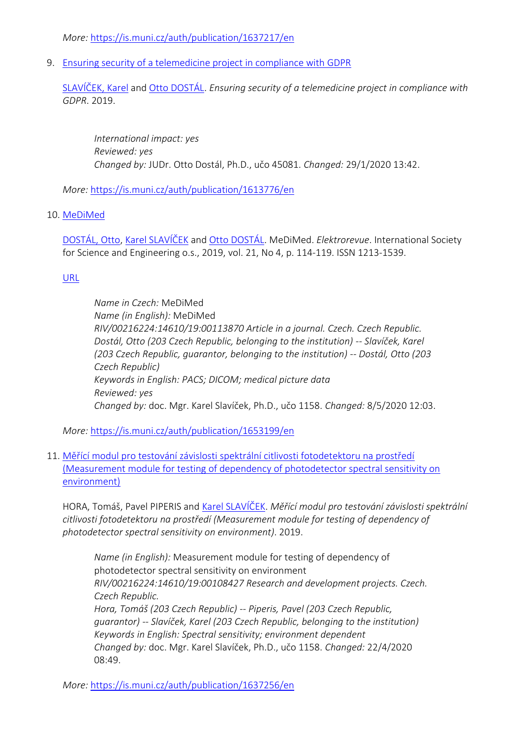*More:* [https://is.muni.cz/auth/publication/1637217/en](https://is.muni.cz/auth/publication/1637217/en/Defensive-perimeter-detection-by-polarization-change-of-the-fibre-optic-signal-In-SPIE-Remote-Sensing-Technologies-and-Applications-in-Urban-Environments/Kyselak-Filka-Grenar-Slavicek?lang=en)

9. [Ensuring security of a telemedicine project in compliance with GDPR](https://is.muni.cz/auth/publication/1613776/en?lang=en)

[SLAVÍČEK, Karel](https://is.muni.cz/auth/person/1158?lang=en) and [Otto DOSTÁL](https://is.muni.cz/auth/person/45081?lang=en). *Ensuring security of a telemedicine project in compliance with GDPR*. 2019.

*International impact: yes Reviewed: yes Changed by:* JUDr. Otto Dostál, Ph.D., učo 45081. *Changed:* 29/1/2020 13:42.

*More:* [https://is.muni.cz/auth/publication/1613776/en](https://is.muni.cz/auth/publication/1613776/en/Ensuring-security-of-a-telemedicine-project-in-compliance-with-GDPR/Slavicek-Dostal-Lieskovan-Hajny?lang=en)

# 10. [MeDiMed](https://is.muni.cz/auth/publication/1653199/en?lang=en)

[DOSTÁL, Otto](https://is.muni.cz/auth/person/2535?lang=en), [Karel SLAVÍČEK](https://is.muni.cz/auth/person/1158?lang=en) and [Otto DOSTÁL](https://is.muni.cz/auth/person/45081?lang=en). MeDiMed. *Elektrorevue*. International Society for Science and Engineering o.s., 2019, vol. 21, No 4, p. 114-119. ISSN 1213-1539.

# [URL](http://elektrorevue.cz/cz/clanky/komunikacni-technologie/0/medimed-1/)

*Name in Czech:* MeDiMed *Name (in English):* MeDiMed *RIV/00216224:14610/19:00113870 Article in a journal. Czech. Czech Republic. Dostál, Otto (203 Czech Republic, belonging to the institution) -- Slavíček, Karel (203 Czech Republic, guarantor, belonging to the institution) -- Dostál, Otto (203 Czech Republic) Keywords in English: PACS; DICOM; medical picture data Reviewed: yes Changed by:* doc. Mgr. Karel Slavíček, Ph.D., učo 1158. *Changed:* 8/5/2020 12:03.

*More:* [https://is.muni.cz/auth/publication/1653199/en](https://is.muni.cz/auth/publication/1653199/en/MeDiMed/Dostal-Slavicek-Dostal?lang=en)

11. Měřící modul pro testování závislosti [spektrální citlivosti fotodetektoru na prostředí](https://is.muni.cz/auth/publication/1637256/en?lang=en)  [\(Measurement module for testing of dependency of photodetector spectral sensitivity on](https://is.muni.cz/auth/publication/1637256/en?lang=en)  [environment\)](https://is.muni.cz/auth/publication/1637256/en?lang=en)

HORA, Tomáš, Pavel PIPERIS and [Karel SLAVÍČEK](https://is.muni.cz/auth/person/1158?lang=en). *Měřící modul pro testování závislosti spektrální citlivosti fotodetektoru na prostředí (Measurement module for testing of dependency of photodetector spectral sensitivity on environment)*. 2019.

*Name (in English):* Measurement module for testing of dependency of photodetector spectral sensitivity on environment *RIV/00216224:14610/19:00108427 Research and development projects. Czech. Czech Republic. Hora, Tomáš (203 Czech Republic) -- Piperis, Pavel (203 Czech Republic, guarantor) -- Slavíček, Karel (203 Czech Republic, belonging to the institution) Keywords in English: Spectral sensitivity; environment dependent Changed by:* doc. Mgr. Karel Slavíček, Ph.D., učo 1158. *Changed:* 22/4/2020 08:49.

*More:* [https://is.muni.cz/auth/publication/1637256/en](https://is.muni.cz/auth/publication/1637256/en/Merici-modul-pro-testovani-zavislosti-spektralni-citlivosti-fotodetektoru-na-prostredi/Hora-Piperis-Slavicek?lang=en)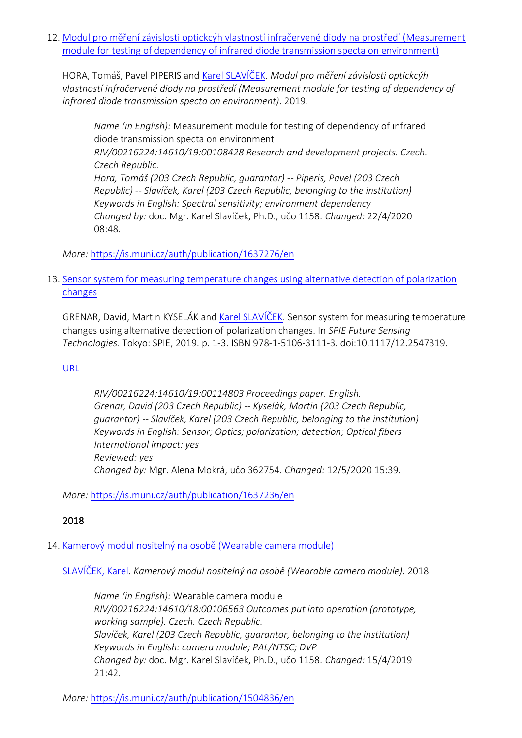12. [Modul pro měření závislosti optickcýh vlastností infračervené diody na prostředí \(Measurement](https://is.muni.cz/auth/publication/1637276/en?lang=en)  [module for testing of dependency of infrared diode transmission specta on environment\)](https://is.muni.cz/auth/publication/1637276/en?lang=en)

HORA, Tomáš, Pavel PIPERIS and [Karel SLAVÍČEK](https://is.muni.cz/auth/person/1158?lang=en). *Modul pro měření závislosti optickcýh vlastností infračervené diody na prostředí (Measurement module for testing of dependency of infrared diode transmission specta on environment)*. 2019.

*Name (in English):* Measurement module for testing of dependency of infrared diode transmission specta on environment *RIV/00216224:14610/19:00108428 Research and development projects. Czech. Czech Republic. Hora, Tomáš (203 Czech Republic, guarantor) -- Piperis, Pavel (203 Czech Republic) -- Slavíček, Karel (203 Czech Republic, belonging to the institution) Keywords in English: Spectral sensitivity; environment dependency Changed by:* doc. Mgr. Karel Slavíček, Ph.D., učo 1158. *Changed:* 22/4/2020 08:48.

*More:* [https://is.muni.cz/auth/publication/1637276/en](https://is.muni.cz/auth/publication/1637276/en/Modul-pro-mereni-zavislosti-optickcyh-vlastnosti-infracervene-diody-na-prostredi/Hora-Piperis-Slavicek?lang=en)

# 13. [Sensor system for measuring temperature changes using alternative detection of polarization](https://is.muni.cz/auth/publication/1637236/en?lang=en)  [changes](https://is.muni.cz/auth/publication/1637236/en?lang=en)

GRENAR, David, Martin KYSELÁK and [Karel SLAVÍČEK](https://is.muni.cz/auth/person/1158?lang=en). Sensor system for measuring temperature changes using alternative detection of polarization changes. In *SPIE Future Sensing Technologies*. Tokyo: SPIE, 2019. p. 1-3. ISBN 978-1-5106-3111-3. doi:10.1117/12.2547319.

# [URL](https://www.spiedigitallibrary.org/conference-proceedings-of-spie/11197/111971A/Sensor-system-for-measuring-temperature-changes-using-alternative-detection-of/10.1117/12.2547319.full?SSO=1)

*RIV/00216224:14610/19:00114803 Proceedings paper. English. Grenar, David (203 Czech Republic) -- Kyselák, Martin (203 Czech Republic, guarantor) -- Slavíček, Karel (203 Czech Republic, belonging to the institution) Keywords in English: Sensor; Optics; polarization; detection; Optical fibers International impact: yes Reviewed: yes Changed by:* Mgr. Alena Mokrá, učo 362754. *Changed:* 12/5/2020 15:39.

*More:* [https://is.muni.cz/auth/publication/1637236/en](https://is.muni.cz/auth/publication/1637236/en/Sensor-system-for-measuring-temperature-changes-using-alternative-detection-of-polarization-changes/Grenar-Kyselak-Slavicek?lang=en)

# 2018

# 14. [Kamerový modul nositelný na osobě \(Wearable camera module\)](https://is.muni.cz/auth/publication/1504836/en?lang=en)

[SLAVÍČEK, Karel](https://is.muni.cz/auth/person/1158?lang=en). *Kamerový modul nositelný na osobě (Wearable camera module)*. 2018.

*Name (in English):* Wearable camera module *RIV/00216224:14610/18:00106563 Outcomes put into operation (prototype, working sample). Czech. Czech Republic. Slavíček, Karel (203 Czech Republic, guarantor, belonging to the institution) Keywords in English: camera module; PAL/NTSC; DVP Changed by:* doc. Mgr. Karel Slavíček, Ph.D., učo 1158. *Changed:* 15/4/2019 21:42.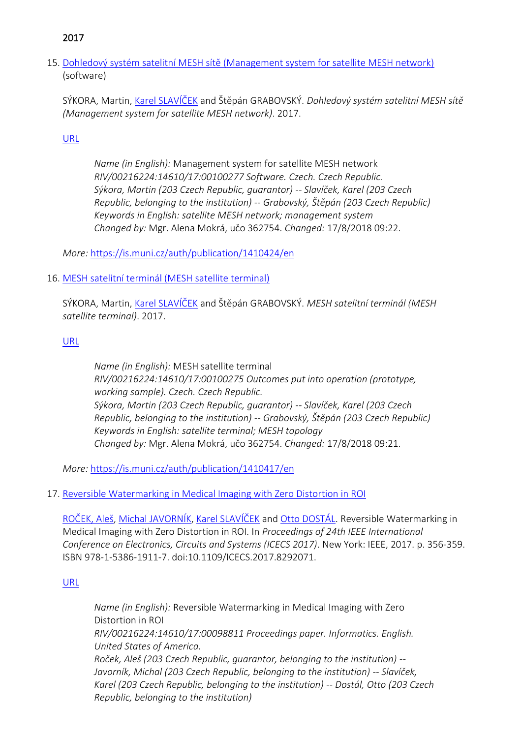# 2017

15. [Dohledový systém satelitní MESH sítě \(Management system for satellite MESH network\)](https://is.muni.cz/auth/publication/1410424/en?lang=en) (software)

SÝKORA, Martin, [Karel SLAVÍČEK](https://is.muni.cz/auth/person/1158?lang=en) and Štěpán GRABOVSKÝ. *Dohledový systém satelitní MESH sítě (Management system for satellite MESH network)*. 2017.

[URL](http://www.svsys.cz/nase-reseni/vyvoj-software-na-zakazku/ridici-a-dohledovy-system-satelitni-mesh-site/)

*Name (in English):* Management system for satellite MESH network *RIV/00216224:14610/17:00100277 Software. Czech. Czech Republic. Sýkora, Martin (203 Czech Republic, guarantor) -- Slavíček, Karel (203 Czech Republic, belonging to the institution) -- Grabovský, Štěpán (203 Czech Republic) Keywords in English: satellite MESH network; management system Changed by:* Mgr. Alena Mokrá, učo 362754. *Changed:* 17/8/2018 09:22.

*More:* [https://is.muni.cz/auth/publication/1410424/en](https://is.muni.cz/auth/publication/1410424/en/Dohledovy-system-satelitni-MESH-site/Sykora-Slavicek-Grabovsky?lang=en)

# 16. [MESH satelitní terminál \(MESH](https://is.muni.cz/auth/publication/1410417/en?lang=en) satellite terminal)

SÝKORA, Martin, [Karel SLAVÍČEK](https://is.muni.cz/auth/person/1158?lang=en) and Štěpán GRABOVSKÝ. *MESH satelitní terminál (MESH satellite terminal)*. 2017.

# [URL](http://www.svsys.cz/nase-reseni/vyvoj-software-na-zakazku/ridici-a-dohledovy-system-satelitni-mesh-site/)

*Name (in English):* MESH satellite terminal *RIV/00216224:14610/17:00100275 Outcomes put into operation (prototype, working sample). Czech. Czech Republic. Sýkora, Martin (203 Czech Republic, guarantor) -- Slavíček, Karel (203 Czech Republic, belonging to the institution) -- Grabovský, Štěpán (203 Czech Republic) Keywords in English: satellite terminal; MESH topology Changed by:* Mgr. Alena Mokrá, učo 362754. *Changed:* 17/8/2018 09:21.

*More:* [https://is.muni.cz/auth/publication/1410417/en](https://is.muni.cz/auth/publication/1410417/en/MESH-satelitni-terminal/Sykora-Slavicek-Grabovsky?lang=en)

# 17. [Reversible Watermarking in Medical Imaging with Zero Distortion in ROI](https://is.muni.cz/auth/publication/1399291/en?lang=en)

[ROČEK, Aleš](https://is.muni.cz/auth/person/205054?lang=en), [Michal JAVORNÍK](https://is.muni.cz/auth/person/1111?lang=en), [Karel SLAVÍČEK](https://is.muni.cz/auth/person/1158?lang=en) and [Otto DOSTÁL](https://is.muni.cz/auth/person/2535?lang=en). Reversible Watermarking in Medical Imaging with Zero Distortion in ROI. In *Proceedings of 24th IEEE International Conference on Electronics, Circuits and Systems (ICECS 2017)*. New York: IEEE, 2017. p. 356-359. ISBN 978-1-5386-1911-7. doi:10.1109/ICECS.2017.8292071.

# [URL](https://ieeexplore.ieee.org/document/8292071/)

*Name (in English):* Reversible Watermarking in Medical Imaging with Zero Distortion in ROI *RIV/00216224:14610/17:00098811 Proceedings paper. Informatics. English. United States of America. Roček, Aleš (203 Czech Republic, guarantor, belonging to the institution) -- Javorník, Michal (203 Czech Republic, belonging to the institution) -- Slavíček, Karel (203 Czech Republic, belonging to the institution) -- Dostál, Otto (203 Czech Republic, belonging to the institution)*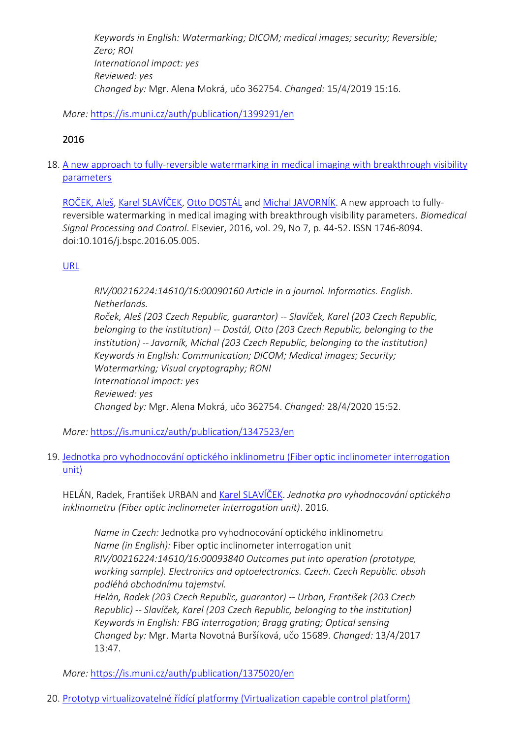*Keywords in English: Watermarking; DICOM; medical images; security; Reversible; Zero; ROI International impact: yes Reviewed: yes Changed by:* Mgr. Alena Mokrá, učo 362754. *Changed:* 15/4/2019 15:16.

*More:* [https://is.muni.cz/auth/publication/1399291/en](https://is.muni.cz/auth/publication/1399291/en/Reversible-Watermarking-in-Medical-Imaging-with-Zero-Distortion-in-ROI/Rocek-Javornik-Slavicek-Dostal?lang=en)

# 2016

18. [A new approach to fully-reversible watermarking in medical imaging with breakthrough visibility](https://is.muni.cz/auth/publication/1347523/en?lang=en)  [parameters](https://is.muni.cz/auth/publication/1347523/en?lang=en)

[ROČEK, Aleš](https://is.muni.cz/auth/person/205054?lang=en), [Karel SLAVÍČEK](https://is.muni.cz/auth/person/1158?lang=en), [Otto DOSTÁL](https://is.muni.cz/auth/person/2535?lang=en) and [Michal JAVORNÍK](https://is.muni.cz/auth/person/1111?lang=en). A new approach to fullyreversible watermarking in medical imaging with breakthrough visibility parameters. *Biomedical Signal Processing and Control*. Elsevier, 2016, vol. 29, No 7, p. 44-52. ISSN 1746-8094. doi:10.1016/j.bspc.2016.05.005.

# [URL](https://doi.org/10.1016/j.bspc.2016.05.005)

*RIV/00216224:14610/16:00090160 Article in a journal. Informatics. English. Netherlands. Roček, Aleš (203 Czech Republic, guarantor) -- Slavíček, Karel (203 Czech Republic, belonging to the institution) -- Dostál, Otto (203 Czech Republic, belonging to the institution) -- Javorník, Michal (203 Czech Republic, belonging to the institution) Keywords in English: Communication; DICOM; Medical images; Security; Watermarking; Visual cryptography; RONI International impact: yes Reviewed: yes Changed by:* Mgr. Alena Mokrá, učo 362754. *Changed:* 28/4/2020 15:52.

*More:* [https://is.muni.cz/auth/publication/1347523/en](https://is.muni.cz/auth/publication/1347523/en/A-new-approach-to-fully-reversible-watermarking-in-medical-imaging-with-breakthrough-visibility-parameters/Rocek-Slavicek-Dostal-Javornik?lang=en)

19. [Jednotka pro vyhodnocování optického inklinometru \(Fiber optic inclinomete](https://is.muni.cz/auth/publication/1375020/en?lang=en)r interrogation [unit\)](https://is.muni.cz/auth/publication/1375020/en?lang=en)

HELÁN, Radek, František URBAN and [Karel SLAVÍČEK](https://is.muni.cz/auth/person/1158?lang=en). *Jednotka pro vyhodnocování optického inklinometru (Fiber optic inclinometer interrogation unit)*. 2016.

*Name in Czech:* Jednotka pro vyhodnocování optického inklinometru *Name (in English):* Fiber optic inclinometer interrogation unit *RIV/00216224:14610/16:00093840 Outcomes put into operation (prototype, working sample). Electronics and optoelectronics. Czech. Czech Republic. obsah podléhá obchodnímu tajemství.*

*Helán, Radek (203 Czech Republic, guarantor) -- Urban, František (203 Czech Republic) -- Slavíček, Karel (203 Czech Republic, belonging to the institution) Keywords in English: FBG interrogation; Bragg grating; Optical sensing Changed by:* Mgr. Marta Novotná Buršíková, učo 15689. *Changed:* 13/4/2017 13:47.

*More:* [https://is.muni.cz/auth/publication/1375020/en](https://is.muni.cz/auth/publication/1375020/en/Jednotka-pro-vyhodnocovani-optickeho-inklinometru/Helan-Urban-Slavicek?lang=en)

20. [Prototyp virtualizovatelné řídící platformy \(Virtualization capable control platform\)](https://is.muni.cz/auth/publication/1375198/en?lang=en)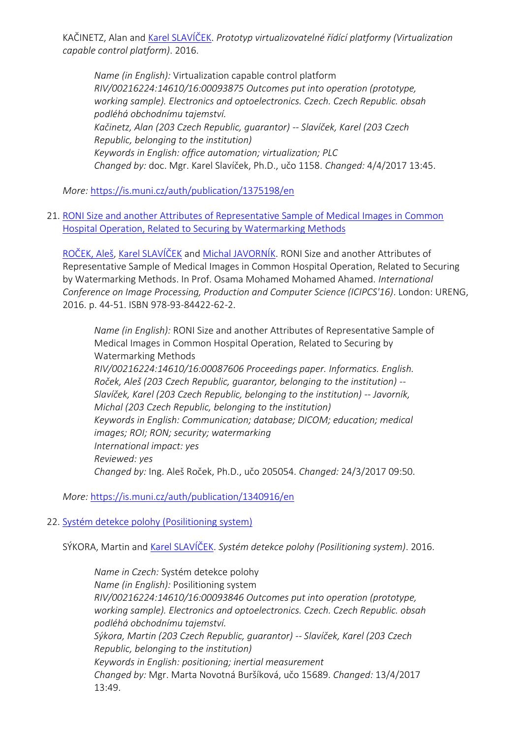KAČINETZ, Alan and [Karel SLAVÍČEK](https://is.muni.cz/auth/person/1158?lang=en). *Prototyp virtualizovatelné řídící platformy (Virtualization capable control platform)*. 2016.

*Name (in English):* Virtualization capable control platform *RIV/00216224:14610/16:00093875 Outcomes put into operation (prototype, working sample). Electronics and optoelectronics. Czech. Czech Republic. obsah podléhá obchodnímu tajemství. Kačinetz, Alan (203 Czech Republic, guarantor) -- Slavíček, Karel (203 Czech Republic, belonging to the institution) Keywords in English: office automation; virtualization; PLC Changed by:* doc. Mgr. Karel Slavíček, Ph.D., učo 1158. *Changed:* 4/4/2017 13:45.

*More:* [https://is.muni.cz/auth/publication/1375198/en](https://is.muni.cz/auth/publication/1375198/en/Prototyp-virtualizovatelne-ridici-platformy/Kacinetz-Slavicek?lang=en)

21. [RONI Size and another Attributes of Representative Sample of Medical Images in Common](https://is.muni.cz/auth/publication/1340916/en?lang=en)  [Hospital Operation, Related to Securing by Watermarking Methods](https://is.muni.cz/auth/publication/1340916/en?lang=en)

[ROČEK, Aleš](https://is.muni.cz/auth/person/205054?lang=en), [Karel SLAVÍČEK](https://is.muni.cz/auth/person/1158?lang=en) and [Michal JAVORNÍK](https://is.muni.cz/auth/person/1111?lang=en). RONI Size and another Attributes of Representative Sample of Medical Images in Common Hospital Operation, Related to Securing by Watermarking Methods. In Prof. Osama Mohamed Mohamed Ahamed. *International Conference on Image Processing, Production and Computer Science (ICIPCS'16)*. London: URENG, 2016. p. 44-51. ISBN 978-93-84422-62-2.

*Name (in English):* RONI Size and another Attributes of Representative Sample of Medical Images in Common Hospital Operation, Related to Securing by Watermarking Methods *RIV/00216224:14610/16:00087606 Proceedings paper. Informatics. English. Roček, Aleš (203 Czech Republic, guarantor, belonging to the institution) -- Slavíček, Karel (203 Czech Republic, belonging to the institution) -- Javorník, Michal (203 Czech Republic, belonging to the institution) Keywords in English: Communication; database; DICOM; education; medical images; ROI; RON; security; watermarking International impact: yes Reviewed: yes Changed by:* Ing. Aleš Roček, Ph.D., učo 205054. *Changed:* 24/3/2017 09:50.

*More:* [https://is.muni.cz/auth/publication/1340916/en](https://is.muni.cz/auth/publication/1340916/en/RONI-Size-and-another-Attributes-of-Representative-Sample-of-Medical-Images-in-Common-Hospital-Operation-Related-to-Securing-by-Watermarking-Methods/Rocek-Slavicek-Javornik?lang=en)

# 22. [Systém detekce polohy \(Posilitioning system\)](https://is.muni.cz/auth/publication/1375037/en?lang=en)

SÝKORA, Martin and [Karel SLAVÍČEK](https://is.muni.cz/auth/person/1158?lang=en). *Systém detekce polohy (Posilitioning system)*. 2016.

*Name in Czech:* Systém detekce polohy *Name (in English):* Posilitioning system *RIV/00216224:14610/16:00093846 Outcomes put into operation (prototype, working sample). Electronics and optoelectronics. Czech. Czech Republic. obsah podléhá obchodnímu tajemství. Sýkora, Martin (203 Czech Republic, guarantor) -- Slavíček, Karel (203 Czech Republic, belonging to the institution) Keywords in English: positioning; inertial measurement Changed by:* Mgr. Marta Novotná Buršíková, učo 15689. *Changed:* 13/4/2017 13:49.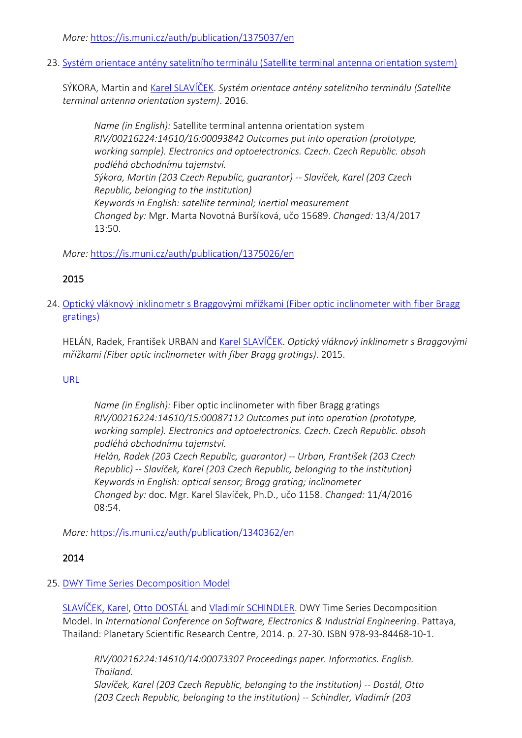*More:* [https://is.muni.cz/auth/publication/1375037/en](https://is.muni.cz/auth/publication/1375037/en/System-detekce-polohy/Sykora-Slavicek?lang=en)

23. [Systém orientace antény satelitního terminálu \(Satellite terminal antenna orientation system\)](https://is.muni.cz/auth/publication/1375026/en?lang=en)

SÝKORA, Martin and [Karel SLAVÍČEK](https://is.muni.cz/auth/person/1158?lang=en). *Systém orientace antény satelitního terminálu (Satellite terminal antenna orientation system)*. 2016.

*Name (in English):* Satellite terminal antenna orientation system *RIV/00216224:14610/16:00093842 Outcomes put into operation (prototype, working sample). Electronics and optoelectronics. Czech. Czech Republic. obsah podléhá obchodnímu tajemství. Sýkora, Martin (203 Czech Republic, guarantor) -- Slavíček, Karel (203 Czech Republic, belonging to the institution) Keywords in English: satellite terminal; Inertial measurement Changed by:* Mgr. Marta Novotná Buršíková, učo 15689. *Changed:* 13/4/2017 13:50.

*More:* [https://is.muni.cz/auth/publication/1375026/en](https://is.muni.cz/auth/publication/1375026/en/System-orientace-anteny-satelitniho-terminalu/Sykora-Slavicek?lang=en)

# 2015

24. [Optický vláknový inklinometr s Braggovými mřížkami \(Fiber optic inclinometer with fiber Bragg](https://is.muni.cz/auth/publication/1340362/en?lang=en)  [gratings\)](https://is.muni.cz/auth/publication/1340362/en?lang=en)

HELÁN, Radek, František URBAN and [Karel SLAVÍČEK](https://is.muni.cz/auth/person/1158?lang=en). *Optický vláknový inklinometr s Braggovými mřížkami (Fiber optic inclinometer with fiber Bragg gratings)*. 2015.

# [URL](https://www.proficomms.cz/)

*Name (in English):* Fiber optic inclinometer with fiber Bragg gratings *RIV/00216224:14610/15:00087112 Outcomes put into operation (prototype, working sample). Electronics and optoelectronics. Czech. Czech Republic. obsah podléhá obchodnímu tajemství. Helán, Radek (203 Czech Republic, guarantor) -- Urban, František (203 Czech Republic) -- Slavíček, Karel (203 Czech Republic, belonging to the institution) Keywords in English: optical sensor; Bragg grating; inclinometer Changed by:* doc. Mgr. Karel Slavíček, Ph.D., učo 1158. *Changed:* 11/4/2016 08:54.

*More:* [https://is.muni.cz/auth/publication/1340362/en](https://is.muni.cz/auth/publication/1340362/en/Opticky-vlaknovy-inklinometr-s-Braggovymi-mrizkami/Helan-Urban-Slavicek?lang=en)

# 2014

# 25. [DWY Time Series Decomposition Model](https://is.muni.cz/auth/publication/1217033/en?lang=en)

[SLAVÍČEK, Karel](https://is.muni.cz/auth/person/1158?lang=en), [Otto DOSTÁL](https://is.muni.cz/auth/person/2535?lang=en) and [Vladimír SCHINDLER](https://is.muni.cz/auth/person/160298?lang=en). DWY Time Series Decomposition Model. In *International Conference on Software, Electronics & Industrial Engineering*. Pattaya, Thailand: Planetary Scientific Research Centre, 2014. p. 27-30. ISBN 978-93-84468-10-1.

*RIV/00216224:14610/14:00073307 Proceedings paper. Informatics. English. Thailand. Slavíček, Karel (203 Czech Republic, belonging to the institution) -- Dostál, Otto (203 Czech Republic, belonging to the institution) -- Schindler, Vladimír (203*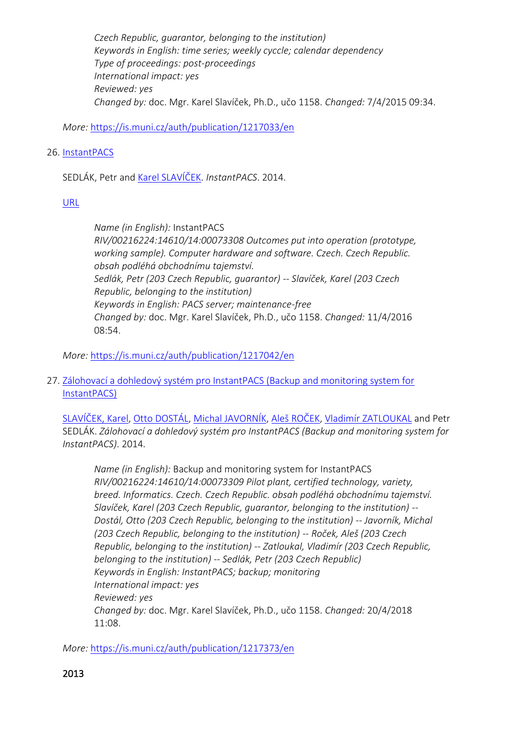*Czech Republic, guarantor, belonging to the institution) Keywords in English: time series; weekly cyccle; calendar dependency Type of proceedings: post-proceedings International impact: yes Reviewed: yes Changed by:* doc. Mgr. Karel Slavíček, Ph.D., učo 1158. *Changed:* 7/4/2015 09:34.

*More:* [https://is.muni.cz/auth/publication/1217033/en](https://is.muni.cz/auth/publication/1217033/en/DWY-Time-Series-Decomposition-Model/Slavicek-Dostal-Schindler?lang=en)

# 26. [InstantPACS](https://is.muni.cz/auth/publication/1217042/en?lang=en)

SEDLÁK, Petr and [Karel SLAVÍČEK](https://is.muni.cz/auth/person/1158?lang=en). *InstantPACS*. 2014.

[URL](http://www.rsc.cz/)

*Name (in English):* InstantPACS *RIV/00216224:14610/14:00073308 Outcomes put into operation (prototype, working sample). Computer hardware and software. Czech. Czech Republic. obsah podléhá obchodnímu tajemství. Sedlák, Petr (203 Czech Republic, guarantor) -- Slavíček, Karel (203 Czech Republic, belonging to the institution) Keywords in English: PACS server; maintenance-free Changed by:* doc. Mgr. Karel Slavíček, Ph.D., učo 1158. *Changed:* 11/4/2016 08:54.

*More:* [https://is.muni.cz/auth/publication/1217042/en](https://is.muni.cz/auth/publication/1217042/en/InstantPACS/Sedlak-Slavicek?lang=en)

27. [Zálohovací a dohledový systém pro InstantPACS \(Backup and monitoring system for](https://is.muni.cz/auth/publication/1217373/en?lang=en)  [InstantPACS\)](https://is.muni.cz/auth/publication/1217373/en?lang=en)

[SLAVÍČEK, Karel](https://is.muni.cz/auth/person/1158?lang=en), [Otto DOSTÁL](https://is.muni.cz/auth/person/2535?lang=en), [Michal JAVORNÍK](https://is.muni.cz/auth/person/1111?lang=en), [Aleš ROČEK](https://is.muni.cz/auth/person/205054?lang=en), [Vladimír ZATLOUKAL](https://is.muni.cz/auth/person/1113?lang=en) and Petr SEDLÁK. *Zálohovací a dohledový systém pro InstantPACS (Backup and monitoring system for InstantPACS)*. 2014.

*Name (in English):* Backup and monitoring system for InstantPACS *RIV/00216224:14610/14:00073309 Pilot plant, certified technology, variety, breed. Informatics. Czech. Czech Republic. obsah podléhá obchodnímu tajemství. Slavíček, Karel (203 Czech Republic, guarantor, belonging to the institution) -- Dostál, Otto (203 Czech Republic, belonging to the institution) -- Javorník, Michal (203 Czech Republic, belonging to the institution) -- Roček, Aleš (203 Czech Republic, belonging to the institution) -- Zatloukal, Vladimír (203 Czech Republic, belonging to the institution) -- Sedlák, Petr (203 Czech Republic) Keywords in English: InstantPACS; backup; monitoring International impact: yes Reviewed: yes Changed by:* doc. Mgr. Karel Slavíček, Ph.D., učo 1158. *Changed:* 20/4/2018 11:08.

*More:* [https://is.muni.cz/auth/publication/1217373/en](https://is.muni.cz/auth/publication/1217373/en/Zalohovaci-a-dohledovy-system-pro-InstantPACS/Slavicek-Dostal-Javornik-Rocek?lang=en)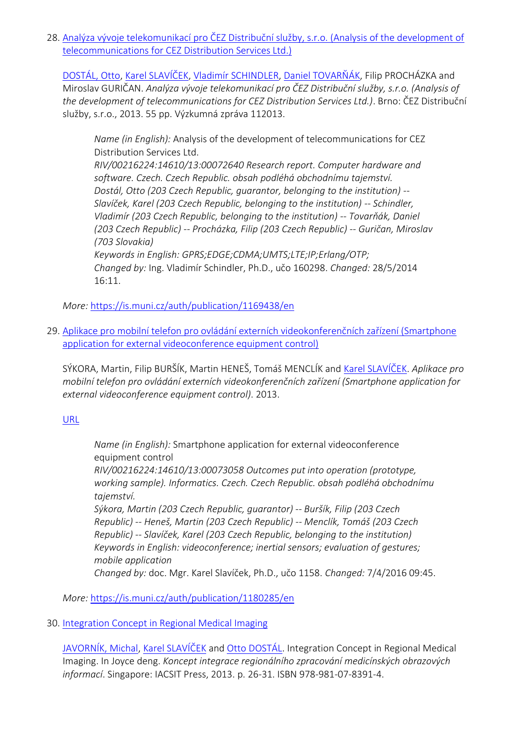28. [Analýza vývoje telekomunikací pro ČEZ Distribuční služby, s.r.o. \(Analysis of the development of](https://is.muni.cz/auth/publication/1169438/en?lang=en)  [telecommunications for CEZ Distribution Services Ltd.\)](https://is.muni.cz/auth/publication/1169438/en?lang=en)

[DOSTÁL, Otto](https://is.muni.cz/auth/person/2535?lang=en), [Karel SLAVÍČEK](https://is.muni.cz/auth/person/1158?lang=en), [Vladimír SCHINDLER](https://is.muni.cz/auth/person/160298?lang=en), [Daniel TOVARŇÁK,](https://is.muni.cz/auth/person/172673?lang=en) Filip PROCHÁZKA and Miroslav GURIČAN. *Analýza vývoje telekomunikací pro ČEZ Distribuční služby, s.r.o. (Analysis of the development of telecommunications for CEZ Distribution Services Ltd.)*. Brno: ČEZ Distribuční služby, s.r.o., 2013. 55 pp. Výzkumná zpráva 112013.

*Name (in English):* Analysis of the development of telecommunications for CEZ Distribution Services Ltd. *RIV/00216224:14610/13:00072640 Research report. Computer hardware and software. Czech. Czech Republic. obsah podléhá obchodnímu tajemství. Dostál, Otto (203 Czech Republic, guarantor, belonging to the institution) -- Slavíček, Karel (203 Czech Republic, belonging to the institution) -- Schindler, Vladimír (203 Czech Republic, belonging to the institution) -- Tovarňák, Daniel (203 Czech Republic) -- Procházka, Filip (203 Czech Republic) -- Guričan, Miroslav (703 Slovakia) Keywords in English: GPRS;EDGE;CDMA;UMTS;LTE;IP;Erlang/OTP; Changed by:* Ing. Vladimír Schindler, Ph.D., učo 160298. *Changed:* 28/5/2014 16:11.

*More:* [https://is.muni.cz/auth/publication/1169438/en](https://is.muni.cz/auth/publication/1169438/en/Analyza-vyvoje-telekomunikaci-pro-CEZ-Distribucni-sluzby-sro/Dostal-Slavicek-Schindler-Tovarnak?lang=en)

29. Aplikace pr[o mobilní telefon pro ovládání externích videokonferenčních zařízení \(Smartphone](https://is.muni.cz/auth/publication/1180285/en?lang=en)  [application for external videoconference equipment control\)](https://is.muni.cz/auth/publication/1180285/en?lang=en)

SÝKORA, Martin, Filip BURŠÍK, Martin HENEŠ, Tomáš MENCLÍK and [Karel SLAVÍČEK](https://is.muni.cz/auth/person/1158?lang=en). *Aplikace pro mobilní telefon pro ovládání externích videokonferenčních zařízení (Smartphone application for external videoconference equipment control)*. 2013.

[URL](http://www.gity.cz/)

*Name (in English):* Smartphone application for external videoconference equipment control *RIV/00216224:14610/13:00073058 Outcomes put into operation (prototype,* 

*working sample). Informatics. Czech. Czech Republic. obsah podléhá obchodnímu tajemství.*

*Sýkora, Martin (203 Czech Republic, guarantor) -- Buršík, Filip (203 Czech Republic) -- Heneš, Martin (203 Czech Republic) -- Menclík, Tomáš (203 Czech Republic) -- Slavíček, Karel (203 Czech Republic, belonging to the institution) Keywords in English: videoconference; inertial sensors; evaluation of gestures; mobile application*

*Changed by:* doc. Mgr. Karel Slavíček, Ph.D., učo 1158. *Changed:* 7/4/2016 09:45.

*More:* [https://is.muni.cz/auth/publication/1180285/en](https://is.muni.cz/auth/publication/1180285/en/Aplikace-pro-mobilni-telefon-pro-ovladani-externich-videokonferencnich-zarizeni/Sykora-Bursik-Henes-Menclik?lang=en)

# 30. [Integration Concept in Regional Medical Imaging](https://is.muni.cz/auth/publication/1169955/en?lang=en)

[JAVORNÍK, Michal](https://is.muni.cz/auth/person/1111?lang=en), [Karel SLAVÍČEK](https://is.muni.cz/auth/person/1158?lang=en) and [Otto DOSTÁL](https://is.muni.cz/auth/person/2535?lang=en). Integration Concept in Regional Medical Imaging. In Joyce deng. *Koncept integrace regionálního zpracování medicínských obrazových informací*. Singapore: IACSIT Press, 2013. p. 26-31. ISBN 978-981-07-8391-4.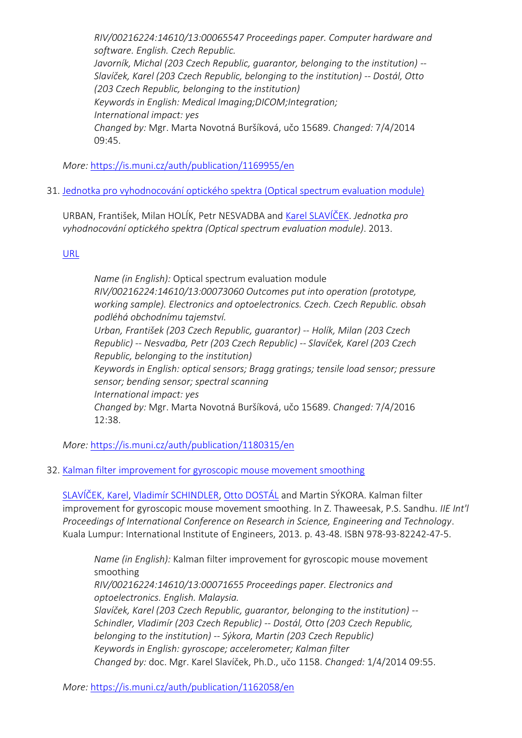*RIV/00216224:14610/13:00065547 Proceedings paper. Computer hardware and software. English. Czech Republic. Javorník, Michal (203 Czech Republic, guarantor, belonging to the institution) -- Slavíček, Karel (203 Czech Republic, belonging to the institution) -- Dostál, Otto (203 Czech Republic, belonging to the institution) Keywords in English: Medical Imaging;DICOM;Integration; International impact: yes Changed by:* Mgr. Marta Novotná Buršíková, učo 15689. *Changed:* 7/4/2014 09:45.

*More:* [https://is.muni.cz/auth/publication/1169955/en](https://is.muni.cz/auth/publication/1169955/en/Integration-Concept-in-Regional-Medical-Imaging/Javornik-Slavicek-Dostal?lang=en)

31. [Jednotka pro vyhodnocování optického spektra \(Optical spectrum evaluation module\)](https://is.muni.cz/auth/publication/1180315/en?lang=en)

URBAN, František, Milan HOLÍK, Petr NESVADBA and [Karel SLAVÍČEK](https://is.muni.cz/auth/person/1158?lang=en). *Jednotka pro vyhodnocování optického spektra (Optical spectrum evaluation module)*. 2013.

# [URL](http://www.proficomms.cz/)

*Name (in English):* Optical spectrum evaluation module *RIV/00216224:14610/13:00073060 Outcomes put into operation (prototype, working sample). Electronics and optoelectronics. Czech. Czech Republic. obsah podléhá obchodnímu tajemství. Urban, František (203 Czech Republic, guarantor) -- Holík, Milan (203 Czech Republic) -- Nesvadba, Petr (203 Czech Republic) -- Slavíček, Karel (203 Czech Republic, belonging to the institution) Keywords in English: optical sensors; Bragg gratings; tensile load sensor; pressure sensor; bending sensor; spectral scanning International impact: yes Changed by:* Mgr. Marta Novotná Buršíková, učo 15689. *Changed:* 7/4/2016 12:38.

*More:* [https://is.muni.cz/auth/publication/1180315/en](https://is.muni.cz/auth/publication/1180315/en/Jednotka-pro-vyhodnocovani-optickeho-spektra/Urban-Holik-Nesvadba-Slavicek?lang=en)

# 32. [Kalman filter improvement for gyroscopic mouse movement smoothing](https://is.muni.cz/auth/publication/1162058/en?lang=en)

[SLAVÍČEK, Karel](https://is.muni.cz/auth/person/1158?lang=en), [Vladimír SCHINDLER](https://is.muni.cz/auth/person/160298?lang=en), [Otto DOSTÁL](https://is.muni.cz/auth/person/2535?lang=en) and Martin SÝKORA. Kalman filter improvement for gyroscopic mouse movement smoothing. In Z. Thaweesak, P.S. Sandhu. *IIE Int'l Proceedings of International Conference on Research in Science, Engineering and Technology*. Kuala Lumpur: International Institute of Engineers, 2013. p. 43-48. ISBN 978-93-82242-47-5.

*Name (in English):* Kalman filter improvement for gyroscopic mouse movement smoothing *RIV/00216224:14610/13:00071655 Proceedings paper. Electronics and optoelectronics. English. Malaysia. Slavíček, Karel (203 Czech Republic, guarantor, belonging to the institution) -- Schindler, Vladimír (203 Czech Republic) -- Dostál, Otto (203 Czech Republic, belonging to the institution) -- Sýkora, Martin (203 Czech Republic) Keywords in English: gyroscope; accelerometer; Kalman filter Changed by:* doc. Mgr. Karel Slavíček, Ph.D., učo 1158. *Changed:* 1/4/2014 09:55.

*More:* [https://is.muni.cz/auth/publication/1162058/en](https://is.muni.cz/auth/publication/1162058/en/Kalman-filter-improvement-for-gyroscopic-mouse-movement-smoothing/Slavicek-Schindler-Dostal-Sykora?lang=en)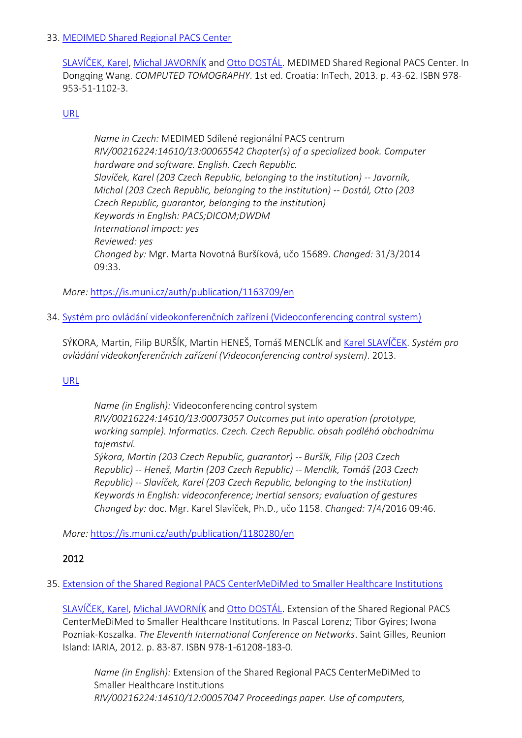### 33. [MEDIMED Shared Regional PACS Center](https://is.muni.cz/auth/publication/1163709/en?lang=en)

[SLAVÍČEK, Karel](https://is.muni.cz/auth/person/1158?lang=en), [Michal JAVORNÍK](https://is.muni.cz/auth/person/1111?lang=en) and [Otto DOSTÁL](https://is.muni.cz/auth/person/2535?lang=en). MEDIMED Shared Regional PACS Center. In Dongqing Wang. *COMPUTED TOMOGRAPHY*. 1st ed. Croatia: InTech, 2013. p. 43-62. ISBN 978- 953-51-1102-3.

### [URL](http://dx.doi.org/10.5772/55904)

*Name in Czech:* MEDIMED Sdílené regionální PACS centrum *RIV/00216224:14610/13:00065542 Chapter(s) of a specialized book. Computer hardware and software. English. Czech Republic. Slavíček, Karel (203 Czech Republic, belonging to the institution) -- Javorník, Michal (203 Czech Republic, belonging to the institution) -- Dostál, Otto (203 Czech Republic, guarantor, belonging to the institution) Keywords in English: PACS;DICOM;DWDM International impact: yes Reviewed: yes Changed by:* Mgr. Marta Novotná Buršíková, učo 15689. *Changed:* 31/3/2014 09:33.

*More:* [https://is.muni.cz/auth/publication/1163709/en](https://is.muni.cz/auth/publication/1163709/en/MEDIMED-Shared-Regional-PACS-Center/Slavicek-Javornik-Dostal?lang=en)

34. [Systém pro ovládání videokonferenčních zařízení \(Videoconferencing control system\)](https://is.muni.cz/auth/publication/1180280/en?lang=en)

SÝKORA, Martin, Filip BURŠÍK, Martin HENEŠ, Tomáš MENCLÍK and [Karel SLAVÍČEK](https://is.muni.cz/auth/person/1158?lang=en). *Systém pro ovládání videokonferenčních zařízení (Videoconferencing control system)*. 2013.

# [URL](http://www.gity.cz/)

*Name (in English):* Videoconferencing control system *RIV/00216224:14610/13:00073057 Outcomes put into operation (prototype, working sample). Informatics. Czech. Czech Republic. obsah podléhá obchodnímu tajemství. Sýkora, Martin (203 Czech Republic, guarantor) -- Buršík, Filip (203 Czech Republic) -- Heneš, Martin (203 Czech Republic) -- Menclík, Tomáš (203 Czech Republic) -- Slavíček, Karel (203 Czech Republic, belonging to the institution) Keywords in English: videoconference; inertial sensors; evaluation of gestures*

*Changed by:* doc. Mgr. Karel Slavíček, Ph.D., učo 1158. *Changed:* 7/4/2016 09:46.

*More:* [https://is.muni.cz/auth/publication/1180280/en](https://is.muni.cz/auth/publication/1180280/en/System-pro-ovladani-videokonferencnich-zarizeni/Sykora-Bursik-Henes-Menclik?lang=en)

# 2012

# 35. [Extension of the Shared Regional PACS CenterMeDiMed to Smaller Healthcare Institutions](https://is.muni.cz/auth/publication/979279/en?lang=en)

[SLAVÍČEK, Karel](https://is.muni.cz/auth/person/1158?lang=en), [Michal JAVORNÍK](https://is.muni.cz/auth/person/1111?lang=en) and [Otto DOSTÁL](https://is.muni.cz/auth/person/2535?lang=en). Extension of the Shared Regional PACS CenterMeDiMed to Smaller Healthcare Institutions. In Pascal Lorenz; Tibor Gyires; Iwona Pozniak-Koszalka. *The Eleventh International Conference on Networks*. Saint Gilles, Reunion Island: IARIA, 2012. p. 83-87. ISBN 978-1-61208-183-0.

*Name (in English):* Extension of the Shared Regional PACS CenterMeDiMed to Smaller Healthcare Institutions *RIV/00216224:14610/12:00057047 Proceedings paper. Use of computers,*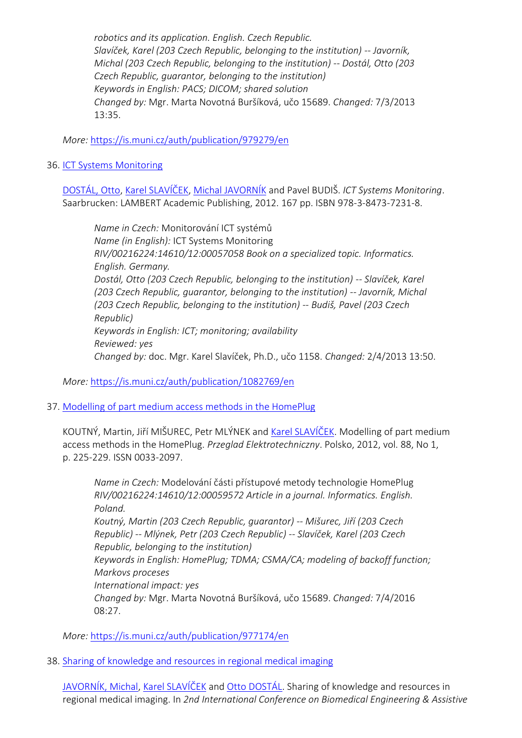*robotics and its application. English. Czech Republic. Slavíček, Karel (203 Czech Republic, belonging to the institution) -- Javorník, Michal (203 Czech Republic, belonging to the institution) -- Dostál, Otto (203 Czech Republic, guarantor, belonging to the institution) Keywords in English: PACS; DICOM; shared solution Changed by:* Mgr. Marta Novotná Buršíková, učo 15689. *Changed:* 7/3/2013 13:35.

*More:* [https://is.muni.cz/auth/publication/979279/en](https://is.muni.cz/auth/publication/979279/en/Extension-of-the-Shared-Regional-PACS-CenterMeDiMed-to-Smaller-Healthcare-Institutions/Slavicek-Javornik-Dostal?lang=en)

### 36. [ICT Systems Monitoring](https://is.muni.cz/auth/publication/1082769/en?lang=en)

[DOSTÁL, Otto](https://is.muni.cz/auth/person/2535?lang=en), [Karel SLAVÍČEK](https://is.muni.cz/auth/person/1158?lang=en), [Michal JAVORNÍK](https://is.muni.cz/auth/person/1111?lang=en) and Pavel BUDIŠ. *ICT Systems Monitoring*. Saarbrucken: LAMBERT Academic Publishing, 2012. 167 pp. ISBN 978-3-8473-7231-8.

*Name in Czech:* Monitorování ICT systémů *Name (in English):* ICT Systems Monitoring *RIV/00216224:14610/12:00057058 Book on a specialized topic. Informatics. English. Germany. Dostál, Otto (203 Czech Republic, belonging to the institution) -- Slavíček, Karel (203 Czech Republic, guarantor, belonging to the institution) -- Javorník, Michal (203 Czech Republic, belonging to the institution) -- Budiš, Pavel (203 Czech Republic) Keywords in English: ICT; monitoring; availability Reviewed: yes Changed by:* doc. Mgr. Karel Slavíček, Ph.D., učo 1158. *Changed:* 2/4/2013 13:50.

*More:* [https://is.muni.cz/auth/publication/1082769/en](https://is.muni.cz/auth/publication/1082769/en/ICT-Systems-Monitoring/Dostal-Slavicek-Javornik-Budis?lang=en)

# 37. [Modelling of part medium access methods in the HomePlug](https://is.muni.cz/auth/publication/977174/en?lang=en)

KOUTNÝ, Martin, Jiří MIŠUREC, Petr MLÝNEK and [Karel SLAVÍČEK](https://is.muni.cz/auth/person/1158?lang=en). Modelling of part medium access methods in the HomePlug. *Przeglad Elektrotechniczny*. Polsko, 2012, vol. 88, No 1, p. 225-229. ISSN 0033-2097.

*Name in Czech:* Modelování části přístupové metody technologie HomePlug *RIV/00216224:14610/12:00059572 Article in a journal. Informatics. English. Poland. Koutný, Martin (203 Czech Republic, guarantor) -- Mišurec, Jiří (203 Czech Republic) -- Mlýnek, Petr (203 Czech Republic) -- Slavíček, Karel (203 Czech Republic, belonging to the institution) Keywords in English: HomePlug; TDMA; CSMA/CA; modeling of backoff function; Markovs proceses International impact: yes Changed by:* Mgr. Marta Novotná Buršíková, učo 15689. *Changed:* 7/4/2016 08:27.

*More:* [https://is.muni.cz/auth/publication/977174/en](https://is.muni.cz/auth/publication/977174/en/Modelling-of-part-medium-access-methods-in-the-HomePlug/Koutny-Misurec-Mlynek-Slavicek?lang=en)

38. [Sharing of knowledge and resources in regional medical imaging](https://is.muni.cz/auth/publication/1082275/en?lang=en)

[JAVORNÍK, Michal](https://is.muni.cz/auth/person/1111?lang=en), [Karel SLAVÍČEK](https://is.muni.cz/auth/person/1158?lang=en) and [Otto DOSTÁL](https://is.muni.cz/auth/person/2535?lang=en). Sharing of knowledge and resources in regional medical imaging. In *2nd International Conference on Biomedical Engineering & Assistive*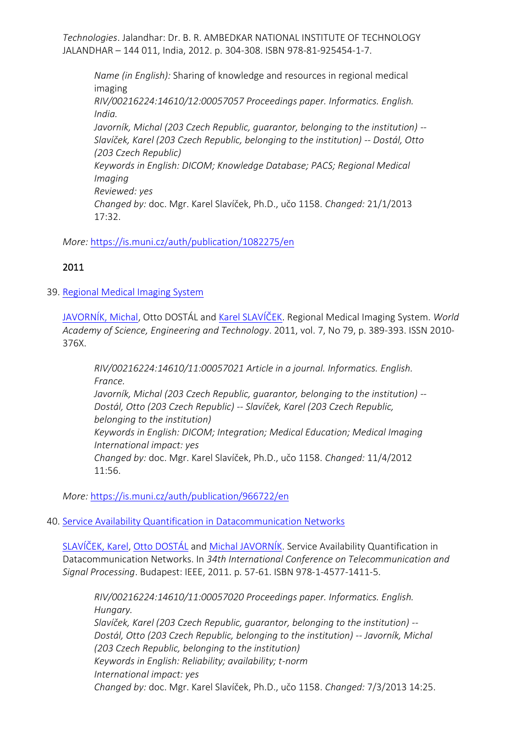*Technologies*. Jalandhar: Dr. B. R. AMBEDKAR NATIONAL INSTITUTE OF TECHNOLOGY JALANDHAR – 144 011, India, 2012. p. 304-308. ISBN 978-81-925454-1-7.

*Name (in English):* Sharing of knowledge and resources in regional medical imaging *RIV/00216224:14610/12:00057057 Proceedings paper. Informatics. English. India. Javorník, Michal (203 Czech Republic, quarantor, belonging to the institution)* --*Slavíček, Karel (203 Czech Republic, belonging to the institution) -- Dostál, Otto (203 Czech Republic) Keywords in English: DICOM; Knowledge Database; PACS; Regional Medical Imaging Reviewed: yes Changed by:* doc. Mgr. Karel Slavíček, Ph.D., učo 1158. *Changed:* 21/1/2013 17:32.

*More:* [https://is.muni.cz/auth/publication/1082275/en](https://is.muni.cz/auth/publication/1082275/en/Sharing-of-knowledge-and-resources-in-regional-medical-imaging/Javornik-Slavicek-Dostal?lang=en)

# 2011

39. [Regional Medical Imaging System](https://is.muni.cz/auth/publication/966722/en?lang=en)

[JAVORNÍK, Michal,](https://is.muni.cz/auth/person/1111?lang=en) Otto DOSTÁL and [Karel SLAVÍČEK](https://is.muni.cz/auth/person/1158?lang=en). Regional Medical Imaging System. *World Academy of Science, Engineering and Technology*. 2011, vol. 7, No 79, p. 389-393. ISSN 2010- 376X.

*RIV/00216224:14610/11:00057021 Article in a journal. Informatics. English. France. Javorník, Michal (203 Czech Republic, guarantor, belonging to the institution) -- Dostál, Otto (203 Czech Republic) -- Slavíček, Karel (203 Czech Republic, belonging to the institution) Keywords in English: DICOM; Integration; Medical Education; Medical Imaging International impact: yes Changed by:* doc. Mgr. Karel Slavíček, Ph.D., učo 1158. *Changed:* 11/4/2012 11:56.

*More:* [https://is.muni.cz/auth/publication/966722/en](https://is.muni.cz/auth/publication/966722/en/Regional-Medical-Imaging-System/Javornik-Dostal-Slavicek?lang=en)

# 40. [Service Availability Quantification in Datacommunication Networks](https://is.muni.cz/auth/publication/956951/en?lang=en)

[SLAVÍČEK, Karel](https://is.muni.cz/auth/person/1158?lang=en), [Otto DOSTÁL](https://is.muni.cz/auth/person/2535?lang=en) and [Michal JAVORNÍK](https://is.muni.cz/auth/person/1111?lang=en). Service Availability Quantification in Datacommunication Networks. In *34th International Conference on Telecommunication and Signal Processing*. Budapest: IEEE, 2011. p. 57-61. ISBN 978-1-4577-1411-5.

*RIV/00216224:14610/11:00057020 Proceedings paper. Informatics. English.* 

*Hungary. Slavíček, Karel (203 Czech Republic, guarantor, belonging to the institution) -- Dostál, Otto (203 Czech Republic, belonging to the institution) -- Javorník, Michal (203 Czech Republic, belonging to the institution) Keywords in English: Reliability; availability; t-norm International impact: yes Changed by:* doc. Mgr. Karel Slavíček, Ph.D., učo 1158. *Changed:* 7/3/2013 14:25.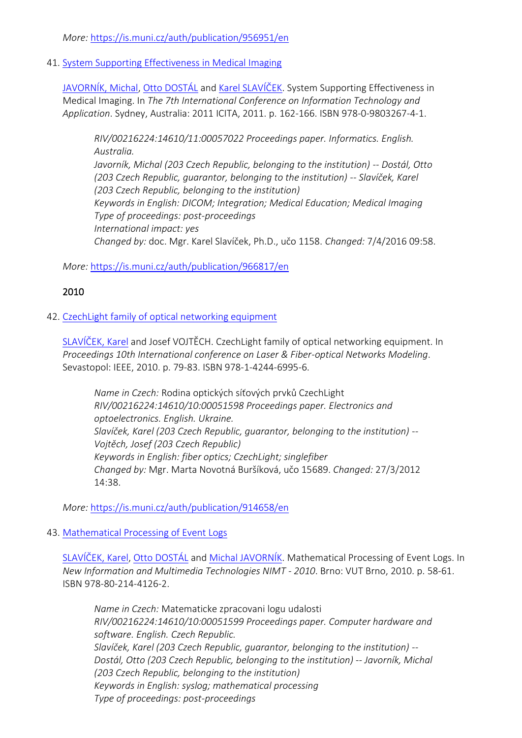*More:* [https://is.muni.cz/auth/publication/956951/en](https://is.muni.cz/auth/publication/956951/en/Service-Availability-Quantification-in-Datacommunication-Networks/Slavicek-Dostal-Javornik?lang=en)

41. [System Supporting Effectiveness in Medical Imaging](https://is.muni.cz/auth/publication/966817/en?lang=en)

[JAVORNÍK, Michal](https://is.muni.cz/auth/person/1111?lang=en), [Otto DOSTÁL](https://is.muni.cz/auth/person/2535?lang=en) and [Karel SLAVÍČEK](https://is.muni.cz/auth/person/1158?lang=en). System Supporting Effectiveness in Medical Imaging. In *The 7th International Conference on Information Technology and Application*. Sydney, Australia: 2011 ICITA, 2011. p. 162-166. ISBN 978-0-9803267-4-1.

*RIV/00216224:14610/11:00057022 Proceedings paper. Informatics. English. Australia. Javorník, Michal (203 Czech Republic, belonging to the institution) -- Dostál, Otto (203 Czech Republic, guarantor, belonging to the institution) -- Slavíček, Karel (203 Czech Republic, belonging to the institution) Keywords in English: DICOM; Integration; Medical Education; Medical Imaging Type of proceedings: post-proceedings International impact: yes Changed by:* doc. Mgr. Karel Slavíček, Ph.D., učo 1158. *Changed:* 7/4/2016 09:58.

*More:* [https://is.muni.cz/auth/publication/966817/en](https://is.muni.cz/auth/publication/966817/en/System-Supporting-Effectiveness-in-Medical-Imaging/Javornik-Dostal-Slavicek?lang=en)

# 2010

# 42. [CzechLight family of optical networking equipment](https://is.muni.cz/auth/publication/914658/en?lang=en)

[SLAVÍČEK, Karel](https://is.muni.cz/auth/person/1158?lang=en) and Josef VOJTĚCH. CzechLight family of optical networking equipment. In *Proceedings 10th International conference on Laser & Fiber-optical Networks Modeling*. Sevastopol: IEEE, 2010. p. 79-83. ISBN 978-1-4244-6995-6.

*Name in Czech:* Rodina optických síťových prvků CzechLight *RIV/00216224:14610/10:00051598 Proceedings paper. Electronics and optoelectronics. English. Ukraine. Slavíček, Karel (203 Czech Republic, guarantor, belonging to the institution) -- Vojtěch, Josef (203 Czech Republic) Keywords in English: fiber optics; CzechLight; singlefiber Changed by:* Mgr. Marta Novotná Buršíková, učo 15689. *Changed:* 27/3/2012 14:38.

*More:* [https://is.muni.cz/auth/publication/914658/en](https://is.muni.cz/auth/publication/914658/en/CzechLight-family-of-optical-networking-equipment/Slavicek-Vojtech?lang=en)

# 43. [Mathematical Processing of Event Logs](https://is.muni.cz/auth/publication/914660/en?lang=en)

[SLAVÍČEK, Karel](https://is.muni.cz/auth/person/1158?lang=en), [Otto DOSTÁL](https://is.muni.cz/auth/person/2535?lang=en) and [Michal JAVORNÍK](https://is.muni.cz/auth/person/1111?lang=en). Mathematical Processing of Event Logs. In *New Information and Multimedia Technologies NIMT - 2010*. Brno: VUT Brno, 2010. p. 58-61. ISBN 978-80-214-4126-2.

*Name in Czech:* Matematicke zpracovani logu udalosti *RIV/00216224:14610/10:00051599 Proceedings paper. Computer hardware and software. English. Czech Republic. Slavíček, Karel (203 Czech Republic, guarantor, belonging to the institution) -- Dostál, Otto (203 Czech Republic, belonging to the institution) -- Javorník, Michal (203 Czech Republic, belonging to the institution) Keywords in English: syslog; mathematical processing Type of proceedings: post-proceedings*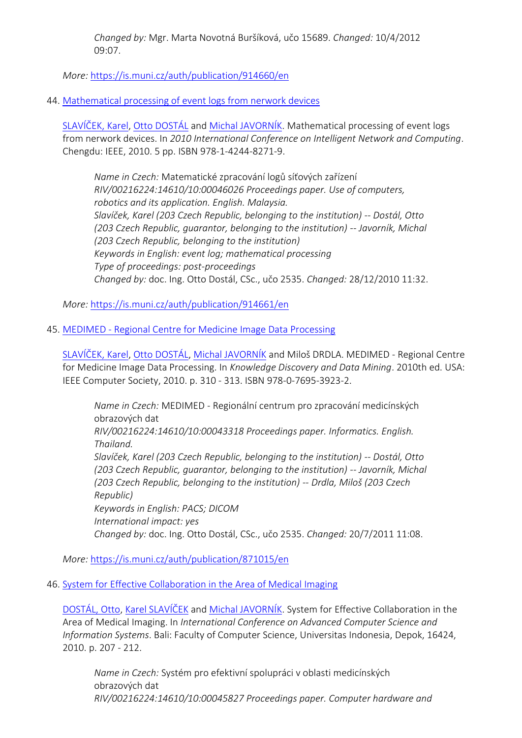*Changed by:* Mgr. Marta Novotná Buršíková, učo 15689. *Changed:* 10/4/2012 09:07.

*More:* [https://is.muni.cz/auth/publication/914660/en](https://is.muni.cz/auth/publication/914660/en/Mathematical-Processing-of-Event-Logs/Slavicek-Dostal-Javornik?lang=en)

# 44. [Mathematical processing of event logs from nerwork devices](https://is.muni.cz/auth/publication/914661/en?lang=en)

[SLAVÍČEK, Karel](https://is.muni.cz/auth/person/1158?lang=en), [Otto DOSTÁL](https://is.muni.cz/auth/person/2535?lang=en) and [Michal JAVORNÍK](https://is.muni.cz/auth/person/1111?lang=en). Mathematical processing of event logs from nerwork devices. In *2010 International Conference on Intelligent Network and Computing*. Chengdu: IEEE, 2010. 5 pp. ISBN 978-1-4244-8271-9.

*Name in Czech:* Matematické zpracování logů síťových zařízení *RIV/00216224:14610/10:00046026 Proceedings paper. Use of computers, robotics and its application. English. Malaysia. Slavíček, Karel (203 Czech Republic, belonging to the institution) -- Dostál, Otto (203 Czech Republic, guarantor, belonging to the institution) -- Javorník, Michal (203 Czech Republic, belonging to the institution) Keywords in English: event log; mathematical processing Type of proceedings: post-proceedings Changed by:* doc. Ing. Otto Dostál, CSc., učo 2535. *Changed:* 28/12/2010 11:32.

*More:* [https://is.muni.cz/auth/publication/914661/en](https://is.muni.cz/auth/publication/914661/en/Mathematical-processing-of-event-logs-from-nerwork-devices/Slavicek-Dostal-Javornik?lang=en)

# 45. MEDIMED - [Regional Centre for Medicine Image Data Processing](https://is.muni.cz/auth/publication/871015/en?lang=en)

[SLAVÍČEK, Karel](https://is.muni.cz/auth/person/1158?lang=en), [Otto DOSTÁL](https://is.muni.cz/auth/person/2535?lang=en), [Michal JAVORNÍK](https://is.muni.cz/auth/person/1111?lang=en) and Miloš DRDLA. MEDIMED - Regional Centre for Medicine Image Data Processing. In *Knowledge Discovery and Data Mining*. 2010th ed. USA: IEEE Computer Society, 2010. p. 310 - 313. ISBN 978-0-7695-3923-2.

*Name in Czech:* MEDIMED - Regionální centrum pro zpracování medicínských obrazových dat *RIV/00216224:14610/10:00043318 Proceedings paper. Informatics. English. Thailand. Slavíček, Karel (203 Czech Republic, belonging to the institution) -- Dostál, Otto (203 Czech Republic, guarantor, belonging to the institution) -- Javorník, Michal (203 Czech Republic, belonging to the institution) -- Drdla, Miloš (203 Czech Republic) Keywords in English: PACS; DICOM International impact: yes Changed by:* doc. Ing. Otto Dostál, CSc., učo 2535. *Changed:* 20/7/2011 11:08.

*More:* [https://is.muni.cz/auth/publication/871015/en](https://is.muni.cz/auth/publication/871015/en/MEDIMED-Regional-Centre-for-Medicine-Image-Data-Processing/Slavicek-Dostal-Javornik-Drdla?lang=en)

#### 46. [System for Effective Collaboration in the Area of Medical Imaging](https://is.muni.cz/auth/publication/913027/en?lang=en)

[DOSTÁL, Otto](https://is.muni.cz/auth/person/2535?lang=en), [Karel SLAVÍČEK](https://is.muni.cz/auth/person/1158?lang=en) and [Michal JAVORNÍK](https://is.muni.cz/auth/person/1111?lang=en). System for Effective Collaboration in the Area of Medical Imaging. In *International Conference on Advanced Computer Science and Information Systems*. Bali: Faculty of Computer Science, Universitas Indonesia, Depok, 16424, 2010. p. 207 - 212.

*Name in Czech:* Systém pro efektivní spolupráci v oblasti medicínských obrazových dat *RIV/00216224:14610/10:00045827 Proceedings paper. Computer hardware and*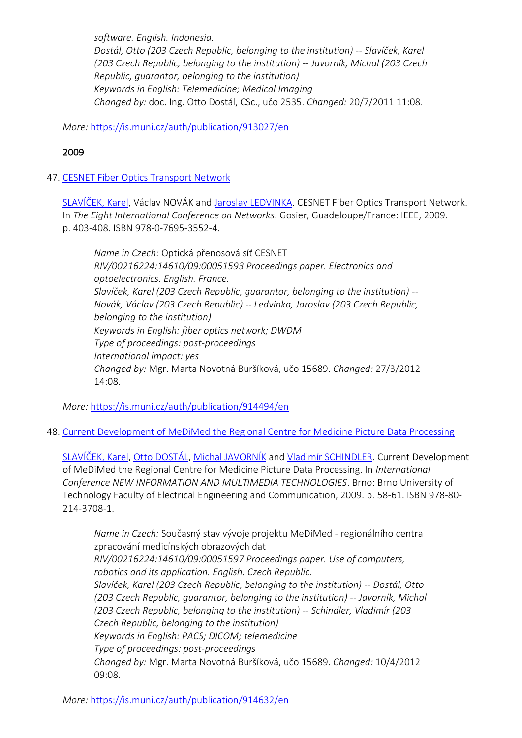*software. English. Indonesia. Dostál, Otto (203 Czech Republic, belonging to the institution) -- Slavíček, Karel (203 Czech Republic, belonging to the institution) -- Javorník, Michal (203 Czech Republic, guarantor, belonging to the institution) Keywords in English: Telemedicine; Medical Imaging Changed by:* doc. Ing. Otto Dostál, CSc., učo 2535. *Changed:* 20/7/2011 11:08.

*More:* [https://is.muni.cz/auth/publication/913027/en](https://is.muni.cz/auth/publication/913027/en/System-for-Effective-Collaboration-in-the-Area-of-Medical-Imaging/Dostal-Slavicek-Javornik?lang=en)

# 2009

# 47. [CESNET Fiber Optics Transport Network](https://is.muni.cz/auth/publication/914494/en?lang=en)

[SLAVÍČEK, Karel,](https://is.muni.cz/auth/person/1158?lang=en) Václav NOVÁK and [Jaroslav LEDVINKA.](https://is.muni.cz/auth/person/510?lang=en) CESNET Fiber Optics Transport Network. In *The Eight International Conference on Networks*. Gosier, Guadeloupe/France: IEEE, 2009. p. 403-408. ISBN 978-0-7695-3552-4.

*Name in Czech:* Optická přenosová síť CESNET *RIV/00216224:14610/09:00051593 Proceedings paper. Electronics and optoelectronics. English. France. Slavíček, Karel (203 Czech Republic, guarantor, belonging to the institution) -- Novák, Václav (203 Czech Republic) -- Ledvinka, Jaroslav (203 Czech Republic, belonging to the institution) Keywords in English: fiber optics network; DWDM Type of proceedings: post-proceedings International impact: yes Changed by:* Mgr. Marta Novotná Buršíková, učo 15689. *Changed:* 27/3/2012 14:08.

*More:* [https://is.muni.cz/auth/publication/914494/en](https://is.muni.cz/auth/publication/914494/en/CESNET-Fiber-Optics-Transport-Network/Slavicek-Novak-Ledvinka?lang=en)

48. [Current Development of MeDiMed the Regional Centre for Medicine Picture Data Processing](https://is.muni.cz/auth/publication/914632/en?lang=en)

[SLAVÍČEK, Karel](https://is.muni.cz/auth/person/1158?lang=en), [Otto DOSTÁL](https://is.muni.cz/auth/person/2535?lang=en), [Michal JAVORNÍK](https://is.muni.cz/auth/person/1111?lang=en) and [Vladimír SCHINDLER](https://is.muni.cz/auth/person/160298?lang=en). Current Development of MeDiMed the Regional Centre for Medicine Picture Data Processing. In *International Conference NEW INFORMATION AND MULTIMEDIA TECHNOLOGIES*. Brno: Brno University of Technology Faculty of Electrical Engineering and Communication, 2009. p. 58-61. ISBN 978-80- 214-3708-1.

*Name in Czech:* Současný stav vývoje projektu MeDiMed - regionálního centra zpracování medicínských obrazových dat *RIV/00216224:14610/09:00051597 Proceedings paper. Use of computers, robotics and its application. English. Czech Republic. Slavíček, Karel (203 Czech Republic, belonging to the institution) -- Dostál, Otto (203 Czech Republic, guarantor, belonging to the institution) -- Javorník, Michal (203 Czech Republic, belonging to the institution) -- Schindler, Vladimír (203 Czech Republic, belonging to the institution) Keywords in English: PACS; DICOM; telemedicine Type of proceedings: post-proceedings Changed by:* Mgr. Marta Novotná Buršíková, učo 15689. *Changed:* 10/4/2012 09:08.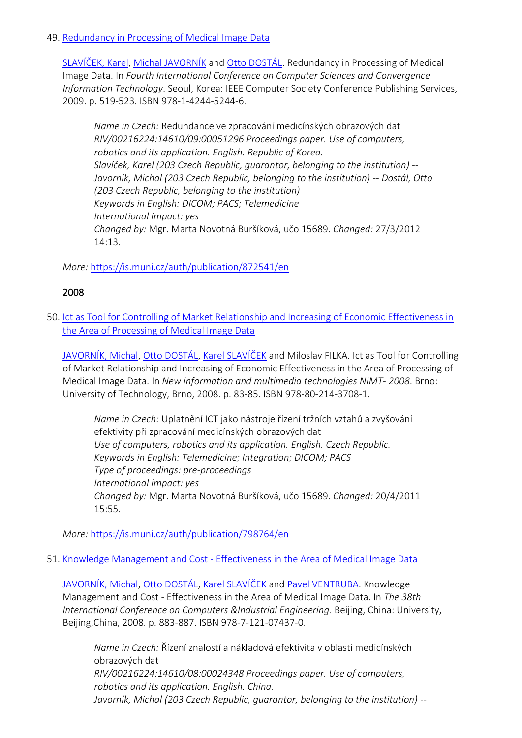### 49. [Redundancy in Processing of Medical Image Data](https://is.muni.cz/auth/publication/872541/en?lang=en)

[SLAVÍČEK, Karel](https://is.muni.cz/auth/person/1158?lang=en), [Michal JAVORNÍK](https://is.muni.cz/auth/person/1111?lang=en) and [Otto DOSTÁL](https://is.muni.cz/auth/person/2535?lang=en). Redundancy in Processing of Medical Image Data. In *Fourth International Conference on Computer Sciences and Convergence Information Technology*. Seoul, Korea: IEEE Computer Society Conference Publishing Services, 2009. p. 519-523. ISBN 978-1-4244-5244-6.

*Name in Czech:* Redundance ve zpracování medicínských obrazových dat *RIV/00216224:14610/09:00051296 Proceedings paper. Use of computers, robotics and its application. English. Republic of Korea. Slavíček, Karel (203 Czech Republic, guarantor, belonging to the institution) -- Javorník, Michal (203 Czech Republic, belonging to the institution) -- Dostál, Otto (203 Czech Republic, belonging to the institution) Keywords in English: DICOM; PACS; Telemedicine International impact: yes Changed by:* Mgr. Marta Novotná Buršíková, učo 15689. *Changed:* 27/3/2012 14:13.

*More:* [https://is.muni.cz/auth/publication/872541/en](https://is.muni.cz/auth/publication/872541/en/Redundancy-in-Processing-of-Medical-Image-Data/Slavicek-Javornik-Dostal?lang=en)

# 2008

50. [Ict as Tool for Controlling of Market Relationship and Increasing of Economic Effectiveness in](https://is.muni.cz/auth/publication/798764/en?lang=en)  [the Area of Processing of Medical Image Data](https://is.muni.cz/auth/publication/798764/en?lang=en)

[JAVORNÍK, Michal](https://is.muni.cz/auth/person/1111?lang=en), [Otto DOSTÁL](https://is.muni.cz/auth/person/2535?lang=en), [Karel SLAVÍČEK](https://is.muni.cz/auth/person/1158?lang=en) and Miloslav FILKA. Ict as Tool for Controlling of Market Relationship and Increasing of Economic Effectiveness in the Area of Processing of Medical Image Data. In *New information and multimedia technologies NIMT- 2008*. Brno: University of Technology, Brno, 2008. p. 83-85. ISBN 978-80-214-3708-1.

*Name in Czech:* Uplatnění ICT jako nástroje řízení tržních vztahů a zvyšování efektivity při zpracování medicínských obrazových dat *Use of computers, robotics and its application. English. Czech Republic. Keywords in English: Telemedicine; Integration; DICOM; PACS Type of proceedings: pre-proceedings International impact: yes Changed by:* Mgr. Marta Novotná Buršíková, učo 15689. *Changed:* 20/4/2011 15:55.

*More:* [https://is.muni.cz/auth/publication/798764/en](https://is.muni.cz/auth/publication/798764/en/Ict-as-Tool-for-Controlling-of-Market-Relationship-and-Increasing-of-Economic-Effectiveness-in-the-Area-of-Processing-of-Medical-Image-Data/Javornik-Dostal-Slavicek-Filka?lang=en)

51. Knowledge Management and Cost - [Effectiveness in the Area of Medical Image Data](https://is.muni.cz/auth/publication/798773/en?lang=en)

[JAVORNÍK, Michal](https://is.muni.cz/auth/person/1111?lang=en), [Otto DOSTÁL](https://is.muni.cz/auth/person/2535?lang=en), [Karel SLAVÍČEK](https://is.muni.cz/auth/person/1158?lang=en) and [Pavel VENTRUBA.](https://is.muni.cz/auth/person/1779?lang=en) Knowledge Management and Cost - Effectiveness in the Area of Medical Image Data. In *The 38th International Conference on Computers &Industrial Engineering*. Beijing, China: University, Beijing,China, 2008. p. 883-887. ISBN 978-7-121-07437-0.

*Name in Czech:* Řízení znalostí a nákladová efektivita v oblasti medicínských obrazových dat *RIV/00216224:14610/08:00024348 Proceedings paper. Use of computers, robotics and its application. English. China. Javorník, Michal (203 Czech Republic, guarantor, belonging to the institution) --*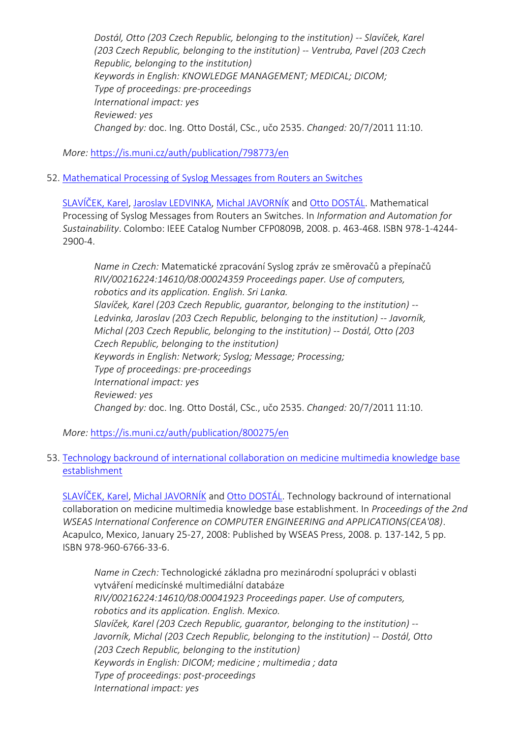*Dostál, Otto (203 Czech Republic, belonging to the institution) -- Slavíček, Karel (203 Czech Republic, belonging to the institution) -- Ventruba, Pavel (203 Czech Republic, belonging to the institution) Keywords in English: KNOWLEDGE MANAGEMENT; MEDICAL; DICOM; Type of proceedings: pre-proceedings International impact: yes Reviewed: yes Changed by:* doc. Ing. Otto Dostál, CSc., učo 2535. *Changed:* 20/7/2011 11:10.

*More:* [https://is.muni.cz/auth/publication/798773/en](https://is.muni.cz/auth/publication/798773/en/Knowledge-Management-and-Cost-Effectiveness-in-the-Area-of-Medical-Image-Data/Javornik-Dostal-Slavicek-Ventruba?lang=en)

52. [Mathematical Processing of Syslog Messages from Routers an Switches](https://is.muni.cz/auth/publication/800275/en?lang=en)

[SLAVÍČEK, Karel](https://is.muni.cz/auth/person/1158?lang=en), [Jaroslav LEDVINKA,](https://is.muni.cz/auth/person/510?lang=en) [Michal JAVORNÍK](https://is.muni.cz/auth/person/1111?lang=en) and [Otto DOSTÁL](https://is.muni.cz/auth/person/2535?lang=en). Mathematical Processing of Syslog Messages from Routers an Switches. In *Information and Automation for Sustainability*. Colombo: IEEE Catalog Number CFP0809B, 2008. p. 463-468. ISBN 978-1-4244- 2900-4.

*Name in Czech:* Matematické zpracování Syslog zpráv ze směrovačů a přepínačů *RIV/00216224:14610/08:00024359 Proceedings paper. Use of computers, robotics and its application. English. Sri Lanka. Slavíček, Karel (203 Czech Republic, guarantor, belonging to the institution) -- Ledvinka, Jaroslav (203 Czech Republic, belonging to the institution) -- Javorník, Michal (203 Czech Republic, belonging to the institution) -- Dostál, Otto (203 Czech Republic, belonging to the institution) Keywords in English: Network; Syslog; Message; Processing; Type of proceedings: pre-proceedings International impact: yes Reviewed: yes Changed by:* doc. Ing. Otto Dostál, CSc., učo 2535. *Changed:* 20/7/2011 11:10.

*More:* [https://is.muni.cz/auth/publication/800275/en](https://is.muni.cz/auth/publication/800275/en/Mathematical-Processing-of-Syslog-Messages-from-Routers-an-Switches/Slavicek-Ledvinka-Javornik-Dostal?lang=en)

# 53. [Technology backround of international collaboration on medicine multimedia knowledge base](https://is.muni.cz/auth/publication/766557/en?lang=en)  [establishment](https://is.muni.cz/auth/publication/766557/en?lang=en)

[SLAVÍČEK, Karel](https://is.muni.cz/auth/person/1158?lang=en), [Michal JAVORNÍK](https://is.muni.cz/auth/person/1111?lang=en) and [Otto DOSTÁL](https://is.muni.cz/auth/person/2535?lang=en). Technology backround of international collaboration on medicine multimedia knowledge base establishment. In *Proceedings of the 2nd WSEAS International Conference on COMPUTER ENGINEERING and APPLICATIONS(CEA'08)*. Acapulco, Mexico, January 25-27, 2008: Published by WSEAS Press, 2008. p. 137-142, 5 pp. ISBN 978-960-6766-33-6.

*Name in Czech:* Technologické základna pro mezinárodní spolupráci v oblasti vytváření medicínské multimediální databáze *RIV/00216224:14610/08:00041923 Proceedings paper. Use of computers, robotics and its application. English. Mexico. Slavíček, Karel (203 Czech Republic, guarantor, belonging to the institution) -- Javorník, Michal (203 Czech Republic, belonging to the institution) -- Dostál, Otto (203 Czech Republic, belonging to the institution) Keywords in English: DICOM; medicine ; multimedia ; data Type of proceedings: post-proceedings International impact: yes*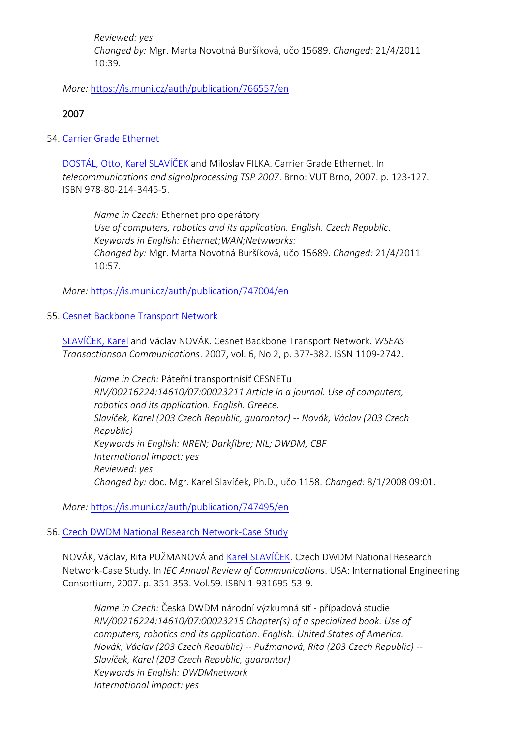*Reviewed: yes Changed by:* Mgr. Marta Novotná Buršíková, učo 15689. *Changed:* 21/4/2011 10:39.

*More:* [https://is.muni.cz/auth/publication/766557/en](https://is.muni.cz/auth/publication/766557/en/Technology-backround-of-international-collaboration-on-medicine-multimedia-knowledge-base-establishment/Slavicek-Javornik-Dostal?lang=en)

# 2007

54. [Carrier Grade Ethernet](https://is.muni.cz/auth/publication/747004/en?lang=en)

[DOSTÁL, Otto](https://is.muni.cz/auth/person/2535?lang=en), [Karel SLAVÍČEK](https://is.muni.cz/auth/person/1158?lang=en) and Miloslav FILKA. Carrier Grade Ethernet. In *telecommunications and signalprocessing TSP 2007*. Brno: VUT Brno, 2007. p. 123-127. ISBN 978-80-214-3445-5.

*Name in Czech:* Ethernet pro operátory *Use of computers, robotics and its application. English. Czech Republic. Keywords in English: Ethernet;WAN;Netwworks: Changed by:* Mgr. Marta Novotná Buršíková, učo 15689. *Changed:* 21/4/2011 10:57.

*More:* [https://is.muni.cz/auth/publication/747004/en](https://is.muni.cz/auth/publication/747004/en/Carrier-Grade-Ethernet/Dostal-Slavicek-Filka?lang=en)

#### 55. [Cesnet Backbone Transport Network](https://is.muni.cz/auth/publication/747495/en?lang=en)

[SLAVÍČEK, Karel](https://is.muni.cz/auth/person/1158?lang=en) and Václav NOVÁK. Cesnet Backbone Transport Network. *WSEAS Transactionson Communications*. 2007, vol. 6, No 2, p. 377-382. ISSN 1109-2742.

*Name in Czech:* Páteřní transportnísíť CESNETu *RIV/00216224:14610/07:00023211 Article in a journal. Use of computers, robotics and its application. English. Greece. Slavíček, Karel (203 Czech Republic, guarantor) -- Novák, Václav (203 Czech Republic) Keywords in English: NREN; Darkfibre; NIL; DWDM; CBF International impact: yes Reviewed: yes Changed by:* doc. Mgr. Karel Slavíček, Ph.D., učo 1158. *Changed:* 8/1/2008 09:01.

*More:* [https://is.muni.cz/auth/publication/747495/en](https://is.muni.cz/auth/publication/747495/en/Cesnet-Backbone-Transport-Network/Slavicek-Novak?lang=en)

#### 56. [Czech DWDM National Research Network-Case Study](https://is.muni.cz/auth/publication/747525/en?lang=en)

NOVÁK, Václav, Rita PUŽMANOVÁ and [Karel SLAVÍČEK](https://is.muni.cz/auth/person/1158?lang=en). Czech DWDM National Research Network-Case Study. In *IEC Annual Review of Communications*. USA: International Engineering Consortium, 2007. p. 351-353. Vol.59. ISBN 1-931695-53-9.

*Name in Czech:* Česká DWDM národní výzkumná síť - případová studie *RIV/00216224:14610/07:00023215 Chapter(s) of a specialized book. Use of computers, robotics and its application. English. United States of America. Novák, Václav (203 Czech Republic) -- Pužmanová, Rita (203 Czech Republic) -- Slavíček, Karel (203 Czech Republic, guarantor) Keywords in English: DWDMnetwork International impact: yes*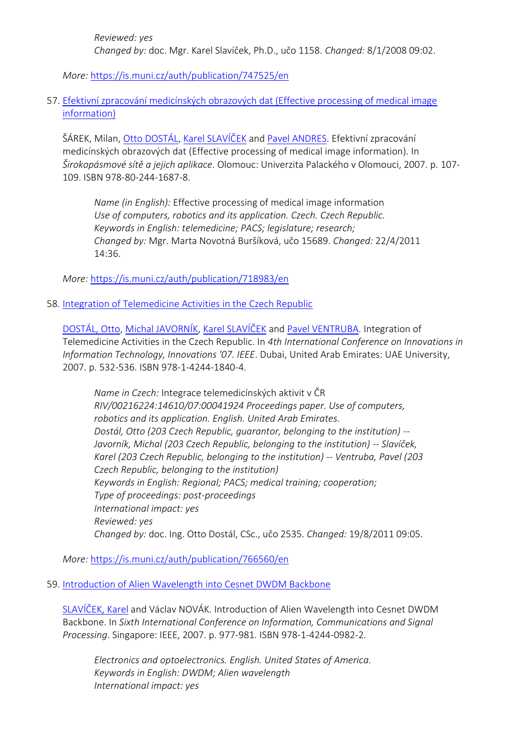*Reviewed: yes Changed by:* doc. Mgr. Karel Slavíček, Ph.D., učo 1158. *Changed:* 8/1/2008 09:02.

*More:* [https://is.muni.cz/auth/publication/747525/en](https://is.muni.cz/auth/publication/747525/en/Czech-DWDM-National-Research-Network-Case-Study/Novak-Puzmanova-Slavicek?lang=en)

57. [Efektivní zpracování medicínských obrazových dat \(Effective processing of medical image](https://is.muni.cz/auth/publication/718983/en?lang=en)  [information\)](https://is.muni.cz/auth/publication/718983/en?lang=en)

ŠÁREK, Milan, [Otto DOSTÁL](https://is.muni.cz/auth/person/2535?lang=en), [Karel SLAVÍČEK](https://is.muni.cz/auth/person/1158?lang=en) and [Pavel ANDRES](https://is.muni.cz/auth/person/96602?lang=en). Efektivní zpracování medicínských obrazových dat (Effective processing of medical image information). In *Širokopásmové sítě a jejich aplikace*. Olomouc: Univerzita Palackého v Olomouci, 2007. p. 107- 109. ISBN 978-80-244-1687-8.

*Name (in English):* Effective processing of medical image information *Use of computers, robotics and its application. Czech. Czech Republic. Keywords in English: telemedicine; PACS; legislature; research; Changed by:* Mgr. Marta Novotná Buršíková, učo 15689. *Changed:* 22/4/2011 14:36.

*More:* [https://is.muni.cz/auth/publication/718983/en](https://is.muni.cz/auth/publication/718983/en/Efektivni-zpracovani-medicinskych-obrazovych-dat/Sarek-Dostal-Slavicek-Andres?lang=en)

58. [Integration of Telemedicine Activities in the Czech Republic](https://is.muni.cz/auth/publication/766560/en?lang=en)

[DOSTÁL, Otto](https://is.muni.cz/auth/person/2535?lang=en), [Michal JAVORNÍK](https://is.muni.cz/auth/person/1111?lang=en), [Karel SLAVÍČEK](https://is.muni.cz/auth/person/1158?lang=en) and [Pavel VENTRUBA.](https://is.muni.cz/auth/person/1779?lang=en) Integration of Telemedicine Activities in the Czech Republic. In *4th International Conference on Innovations in Information Technology, Innovations '07. IEEE*. Dubai, United Arab Emirates: UAE University, 2007. p. 532-536. ISBN 978-1-4244-1840-4.

*Name in Czech:* Integrace telemedicínských aktivit v ČR *RIV/00216224:14610/07:00041924 Proceedings paper. Use of computers, robotics and its application. English. United Arab Emirates. Dostál, Otto (203 Czech Republic, guarantor, belonging to the institution) -- Javorník, Michal (203 Czech Republic, belonging to the institution) -- Slavíček, Karel (203 Czech Republic, belonging to the institution) -- Ventruba, Pavel (203 Czech Republic, belonging to the institution) Keywords in English: Regional; PACS; medical training; cooperation; Type of proceedings: post-proceedings International impact: yes Reviewed: yes Changed by:* doc. Ing. Otto Dostál, CSc., učo 2535. *Changed:* 19/8/2011 09:05.

*More:* [https://is.muni.cz/auth/publication/766560/en](https://is.muni.cz/auth/publication/766560/en/Integration-of-Telemedicine-Activities-in-the-Czech-Republic/Dostal-Javornik-Slavicek-Ventruba?lang=en)

59. [Introduction of Alien Wavelength into Cesnet DWDM Backbone](https://is.muni.cz/auth/publication/879387/en?lang=en)

[SLAVÍČEK, Karel](https://is.muni.cz/auth/person/1158?lang=en) and Václav NOVÁK. Introduction of Alien Wavelength into Cesnet DWDM Backbone. In *Sixth International Conference on Information, Communications and Signal Processing*. Singapore: IEEE, 2007. p. 977-981. ISBN 978-1-4244-0982-2.

*Electronics and optoelectronics. English. United States of America. Keywords in English: DWDM; Alien wavelength International impact: yes*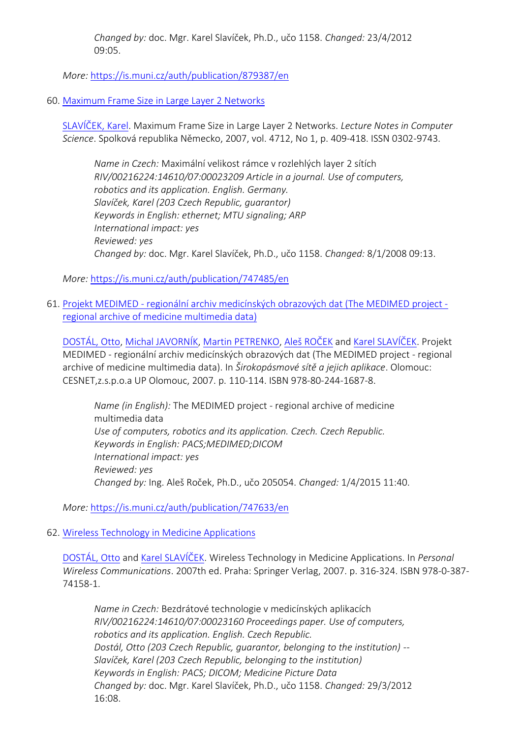*Changed by:* doc. Mgr. Karel Slavíček, Ph.D., učo 1158. *Changed:* 23/4/2012 09:05.

*More:* [https://is.muni.cz/auth/publication/879387/en](https://is.muni.cz/auth/publication/879387/en/Introduction-of-Alien-Wavelength-into-Cesnet-DWDM-Backbone/Slavicek-Novak?lang=en)

# 60. [Maximum Frame Size in Large Layer 2 Networks](https://is.muni.cz/auth/publication/747485/en?lang=en)

[SLAVÍČEK, Karel](https://is.muni.cz/auth/person/1158?lang=en). Maximum Frame Size in Large Layer 2 Networks. *Lecture Notes in Computer Science*. Spolková republika Německo, 2007, vol. 4712, No 1, p. 409-418. ISSN 0302-9743.

*Name in Czech:* Maximální velikost rámce v rozlehlých layer 2 sítích *RIV/00216224:14610/07:00023209 Article in a journal. Use of computers, robotics and its application. English. Germany. Slavíček, Karel (203 Czech Republic, guarantor) Keywords in English: ethernet; MTU signaling; ARP International impact: yes Reviewed: yes Changed by:* doc. Mgr. Karel Slavíček, Ph.D., učo 1158. *Changed:* 8/1/2008 09:13.

*More:* [https://is.muni.cz/auth/publication/747485/en](https://is.muni.cz/auth/publication/747485/en/Maximum-Frame-Size-in-Large-Layer-2-Networks/Slavicek?lang=en)

61. Projekt MEDIMED - [regionální archiv medicínských obrazových dat \(The MEDIMED pr](https://is.muni.cz/auth/publication/747633/en?lang=en)oject [regional archive of medicine multimedia data\)](https://is.muni.cz/auth/publication/747633/en?lang=en)

[DOSTÁL, Otto](https://is.muni.cz/auth/person/2535?lang=en), [Michal JAVORNÍK](https://is.muni.cz/auth/person/1111?lang=en), [Martin PETRENKO,](https://is.muni.cz/auth/person/31215?lang=en) [Aleš ROČEK](https://is.muni.cz/auth/person/205054?lang=en) and [Karel SLAVÍČEK](https://is.muni.cz/auth/person/1158?lang=en). Projekt MEDIMED - regionální archiv medicínských obrazových dat (The MEDIMED project - regional archive of medicine multimedia data). In *Širokopásmové sítě a jejich aplikace*. Olomouc: CESNET,z.s.p.o.a UP Olomouc, 2007. p. 110-114. ISBN 978-80-244-1687-8.

*Name (in English):* The MEDIMED project - regional archive of medicine multimedia data *Use of computers, robotics and its application. Czech. Czech Republic. Keywords in English: PACS;MEDIMED;DICOM International impact: yes Reviewed: yes Changed by:* Ing. Aleš Roček, Ph.D., učo 205054. *Changed:* 1/4/2015 11:40.

*More:* [https://is.muni.cz/auth/publication/747633/en](https://is.muni.cz/auth/publication/747633/en/Projekt-MEDIMED-regionalni-archiv-medicinskych-obrazovych-dat/Dostal-Javornik-Petrenko-Rocek?lang=en)

# 62. [Wireless Technology in Medicine Applications](https://is.muni.cz/auth/publication/747001/en?lang=en)

[DOSTÁL, Otto](https://is.muni.cz/auth/person/2535?lang=en) and [Karel SLAVÍČEK](https://is.muni.cz/auth/person/1158?lang=en). Wireless Technology in Medicine Applications. In *Personal Wireless Communications*. 2007th ed. Praha: Springer Verlag, 2007. p. 316-324. ISBN 978-0-387- 74158-1.

*Name in Czech:* Bezdrátové technologie v medicínských aplikacích *RIV/00216224:14610/07:00023160 Proceedings paper. Use of computers, robotics and its application. English. Czech Republic. Dostál, Otto (203 Czech Republic, guarantor, belonging to the institution) -- Slavíček, Karel (203 Czech Republic, belonging to the institution) Keywords in English: PACS; DICOM; Medicine Picture Data Changed by:* doc. Mgr. Karel Slavíček, Ph.D., učo 1158. *Changed:* 29/3/2012 16:08.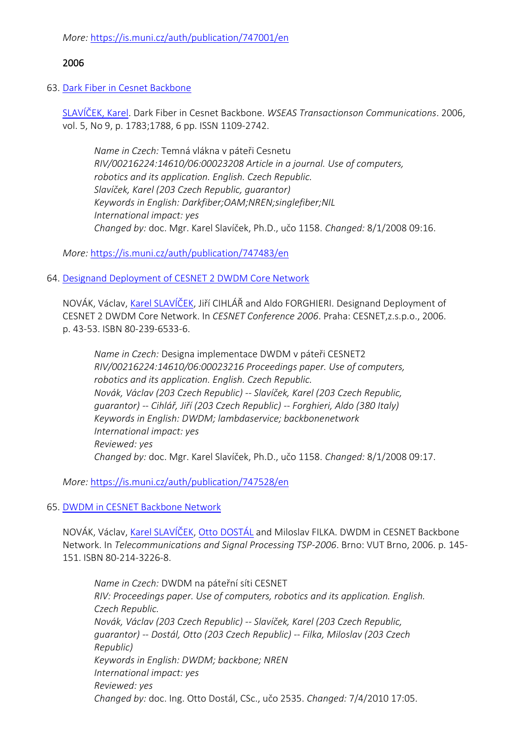*More:* [https://is.muni.cz/auth/publication/747001/en](https://is.muni.cz/auth/publication/747001/en/Wireless-Technology-in-Medicine-Applications/Dostal-Slavicek?lang=en)

# 2006

### 63. [Dark Fiber in Cesnet Backbone](https://is.muni.cz/auth/publication/747483/en?lang=en)

SLA[VÍČEK, Karel](https://is.muni.cz/auth/person/1158?lang=en). Dark Fiber in Cesnet Backbone. *WSEAS Transactionson Communications*. 2006, vol. 5, No 9, p. 1783;1788, 6 pp. ISSN 1109-2742.

*Name in Czech:* Temná vlákna v páteři Cesnetu *RIV/00216224:14610/06:00023208 Article in a journal. Use of computers, robotics and its application. English. Czech Republic. Slavíček, Karel (203 Czech Republic, guarantor) Keywords in English: Darkfiber;OAM;NREN;singlefiber;NIL International impact: yes Changed by:* doc. Mgr. Karel Slavíček, Ph.D., učo 1158. *Changed:* 8/1/2008 09:16.

*More:* [https://is.muni.cz/auth/publication/747483/en](https://is.muni.cz/auth/publication/747483/en/Dark-Fiber-in-Cesnet-Backbone/Slavicek?lang=en)

### 64. [Designand Deployment of CESNET 2 DWDM Core Network](https://is.muni.cz/auth/publication/747528/en?lang=en)

NOVÁK, Václav, [Karel SLAVÍČEK,](https://is.muni.cz/auth/person/1158?lang=en) Jiří CIHLÁŘ and Aldo FORGHIERI. Designand Deployment of CESNET 2 DWDM Core Network. In *CESNET Conference 2006*. Praha: CESNET,z.s.p.o., 2006. p. 43-53. ISBN 80-239-6533-6.

*Name in Czech:* Designa implementace DWDM v páteři CESNET2 *RIV/00216224:14610/06:00023216 Proceedings paper. Use of computers, robotics and its application. English. Czech Republic. Novák, Václav (203 Czech Republic) -- Slavíček, Karel (203 Czech Republic, guarantor) -- Cihlář, Jiří (203 Czech Republic) -- Forghieri, Aldo (380 Italy) Keywords in English: DWDM; lambdaservice; backbonenetwork International impact: yes Reviewed: yes Changed by:* doc. Mgr. Karel Slavíček, Ph.D., učo 1158. *Changed:* 8/1/2008 09:17.

*More:* [https://is.muni.cz/auth/publication/747528/en](https://is.muni.cz/auth/publication/747528/en/Designand-Deployment-of-CESNET-2-DWDM-Core-Network/Novak-Slavicek-Cihlar-Forghieri?lang=en)

# 65. [DWDM in CESNET Backbone Network](https://is.muni.cz/auth/publication/747560/en?lang=en)

NOVÁK, Václav, [Karel SLAVÍČEK](https://is.muni.cz/auth/person/1158?lang=en), [Otto DOSTÁL](https://is.muni.cz/auth/person/2535?lang=en) and Miloslav FILKA. DWDM in CESNET Backbone Network. In *Telecommunications and Signal Processing TSP-2006*. Brno: VUT Brno, 2006. p. 145- 151. ISBN 80-214-3226-8.

*Name in Czech:* DWDM na páteřní síti CESNET *RIV: Proceedings paper. Use of computers, robotics and its application. English. Czech Republic. Novák, Václav (203 Czech Republic) -- Slavíček, Karel (203 Czech Republic, guarantor) -- Dostál, Otto (203 Czech Republic) -- Filka, Miloslav (203 Czech Republic) Keywords in English: DWDM; backbone; NREN International impact: yes Reviewed: yes Changed by:* doc. Ing. Otto Dostál, CSc., učo 2535. *Changed:* 7/4/2010 17:05.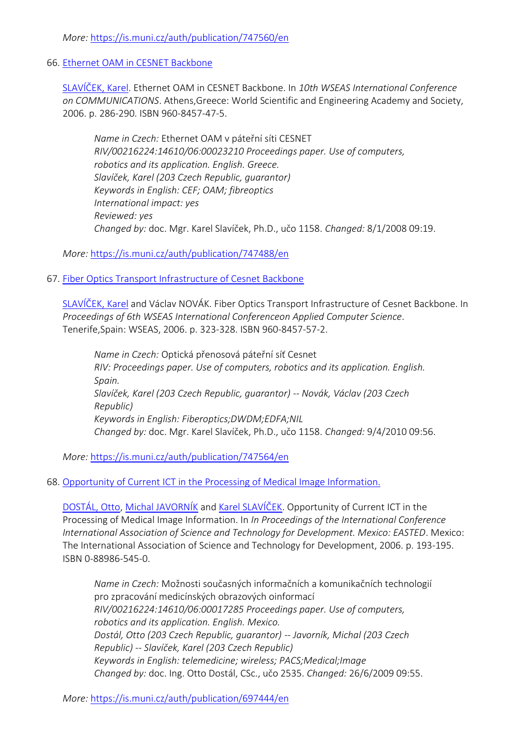*More:* [https://is.muni.cz/auth/publication/747560/en](https://is.muni.cz/auth/publication/747560/en/DWDM-in-CESNET-Backbone-Network/Novak-Slavicek-Dostal-Filka?lang=en)

#### 66. [Ethernet OAM in CESNET Backbone](https://is.muni.cz/auth/publication/747488/en?lang=en)

[SLAVÍČEK, Karel](https://is.muni.cz/auth/person/1158?lang=en). Ethernet OAM in CESNET Backbone. In *10th WSEAS International Conference on COMMUNICATIONS*. Athens,Greece: World Scientific and Engineering Academy and Society, 2006. p. 286-290. ISBN 960-8457-47-5.

*Name in Czech:* Ethernet OAM v páteřní síti CESNET *RIV/00216224:14610/06:00023210 Proceedings paper. Use of computers, robotics and its application. English. Greece. Slavíček, Karel (203 Czech Republic, guarantor) Keywords in English: CEF; OAM; fibreoptics International impact: yes Reviewed: yes Changed by:* doc. Mgr. Karel Slavíček, Ph.D., učo 1158. *Changed:* 8/1/2008 09:19.

*More:* [https://is.muni.cz/auth/publication/747488/en](https://is.muni.cz/auth/publication/747488/en/Ethernet-OAM-in-CESNET-Backbone/Slavicek?lang=en)

# 67. [Fiber Optics Transport Infrastructure of Cesnet Backbone](https://is.muni.cz/auth/publication/747564/en?lang=en)

[SLAVÍČEK, Karel](https://is.muni.cz/auth/person/1158?lang=en) and Václav NOVÁK. Fiber Optics Transport Infrastructure of Cesnet Backbone. In *Proceedings of 6th WSEAS International Conferenceon Applied Computer Science*. Tenerife,Spain: WSEAS, 2006. p. 323-328. ISBN 960-8457-57-2.

*Name in Czech:* Optická přenosová páteřní síť Cesnet *RIV: Proceedings paper. Use of computers, robotics and its application. English. Spain. Slavíček, Karel (203 Czech Republic, guarantor) -- Novák, Václav (203 Czech Republic) Keywords in English: Fiberoptics;DWDM;EDFA;NIL Changed by:* doc. Mgr. Karel Slavíček, Ph.D., učo 1158. *Changed:* 9/4/2010 09:56.

*More:* [https://is.muni.cz/auth/publication/747564/en](https://is.muni.cz/auth/publication/747564/en/Fiber-Optics-Transport-Infrastructure-of-Cesnet-Backbone/Slavicek-Novak?lang=en)

# 68. [Opportunity of Current ICT in the Processing of Medical Image Information.](https://is.muni.cz/auth/publication/697444/en?lang=en)

[DOSTÁL, Otto](https://is.muni.cz/auth/person/2535?lang=en), [Michal JAVORNÍK](https://is.muni.cz/auth/person/1111?lang=en) and [Karel SLAVÍČEK](https://is.muni.cz/auth/person/1158?lang=en). Opportunity of Current ICT in the Processing of Medical Image Information. In *In Proceedings of the International Conference International Association of Science and Technology for Development. Mexico: EASTED*. Mexico: The International Association of Science and Technology for Development, 2006. p. 193-195. ISBN 0-88986-545-0.

*Name in Czech:* Možnosti současných informačních a komunikačních technologií pro zpracování medicínských obrazových oinformací *RIV/00216224:14610/06:00017285 Proceedings paper. Use of computers, robotics and its application. English. Mexico. Dostál, Otto (203 Czech Republic, guarantor) -- Javorník, Michal (203 Czech Republic) -- Slavíček, Karel (203 Czech Republic) Keywords in English: telemedicine; wireless; PACS;Medical;Image Changed by:* doc. Ing. Otto Dostál, CSc., učo 2535. *Changed:* 26/6/2009 09:55.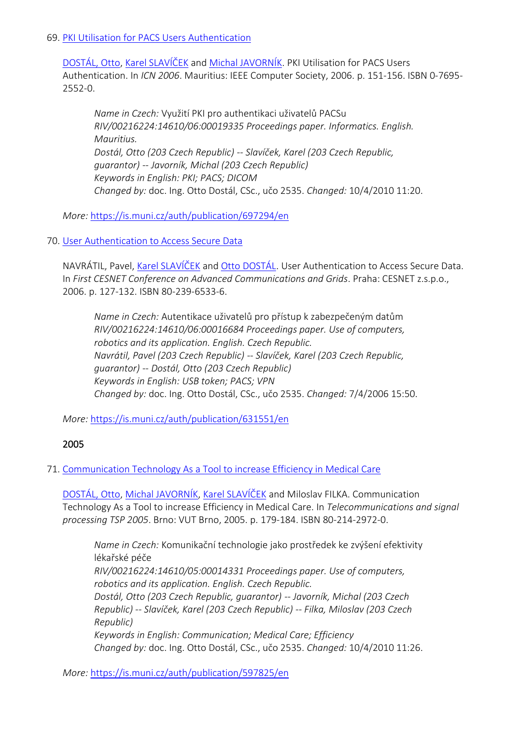### 69. [PKI Utilisation for PACS Users Authentication](https://is.muni.cz/auth/publication/697294/en?lang=en)

[DOSTÁL, Otto](https://is.muni.cz/auth/person/2535?lang=en), [Karel SLAVÍČEK](https://is.muni.cz/auth/person/1158?lang=en) and [Michal JAVORNÍK](https://is.muni.cz/auth/person/1111?lang=en). PKI Utilisation for PACS Users Authentication. In *ICN 2006*. Mauritius: IEEE Computer Society, 2006. p. 151-156. ISBN 0-7695- 2552-0.

*Name in Czech:* Využití PKI pro authentikaci uživatelů PACSu *RIV/00216224:14610/06:00019335 Proceedings paper. Informatics. English. Mauritius. Dostál, Otto (203 Czech Republic) -- Slavíček, Karel (203 Czech Republic, guarantor) -- Javorník, Michal (203 Czech Republic) Keywords in English: PKI; PACS; DICOM Changed by:* doc. Ing. Otto Dostál, CSc., učo 2535. *Changed:* 10/4/2010 11:20.

*More:* [https://is.muni.cz/auth/publication/697294/en](https://is.muni.cz/auth/publication/697294/en/PKI-Utilisation-for-PACS-Users-Authentication/Dostal-Slavicek-Javornik?lang=en)

70. [User Authentication to Access Secure Data](https://is.muni.cz/auth/publication/631551/en?lang=en)

NAVRÁTIL, Pavel, [Karel SLAVÍČEK](https://is.muni.cz/auth/person/1158?lang=en) and [Otto DOSTÁL](https://is.muni.cz/auth/person/2535?lang=en). User Authentication to Access Secure Data. In *First CESNET Conference on Advanced Communications and Grids*. Praha: CESNET z.s.p.o., 2006. p. 127-132. ISBN 80-239-6533-6.

*Name in Czech:* Autentikace uživatelů pro přístup k zabezpečeným datům *RIV/00216224:14610/06:00016684 Proceedings paper. Use of computers, robotics and its application. English. Czech Republic. Navrátil, Pavel (203 Czech Republic) -- Slavíček, Karel (203 Czech Republic, guarantor) -- Dostál, Otto (203 Czech Republic) Keywords in English: USB token; PACS; VPN Changed by:* doc. Ing. Otto Dostál, CSc., učo 2535. *Changed:* 7/4/2006 15:50.

*More:* [https://is.muni.cz/auth/publication/631551/en](https://is.muni.cz/auth/publication/631551/en/User-Authentication-to-Access-Secure-Data/Navratil-Slavicek-Dostal?lang=en)

# 2005

# 71. [Communication Technology As a Tool to increase Efficiency in Medical Care](https://is.muni.cz/auth/publication/597825/en?lang=en)

[DOSTÁL, Otto](https://is.muni.cz/auth/person/2535?lang=en), [Michal JAVORNÍK](https://is.muni.cz/auth/person/1111?lang=en), [Karel SLAVÍČEK](https://is.muni.cz/auth/person/1158?lang=en) and Miloslav FILKA. Communication Technology As a Tool to increase Efficiency in Medical Care. In *Telecommunications and signal processing TSP 2005*. Brno: VUT Brno, 2005. p. 179-184. ISBN 80-214-2972-0.

*Name in Czech:* Komunikační technologie jako prostředek ke zvýšení efektivity lékařské péče *RIV/00216224:14610/05:00014331 Proceedings paper. Use of computers, robotics and its application. English. Czech Republic. Dostál, Otto (203 Czech Republic, guarantor) -- Javorník, Michal (203 Czech Republic) -- Slavíček, Karel (203 Czech Republic) -- Filka, Miloslav (203 Czech Republic) Keywords in English: Communication; Medical Care; Efficiency Changed by:* doc. Ing. Otto Dostál, CSc., učo 2535. *Changed:* 10/4/2010 11:26.

*More:* [https://is.muni.cz/auth/publication/597825/en](https://is.muni.cz/auth/publication/597825/en/Communication-Technology-As-a-Tool-to-increase-Efficiency-in-Medical-Care/Dostal-Javornik-Slavicek-Filka?lang=en)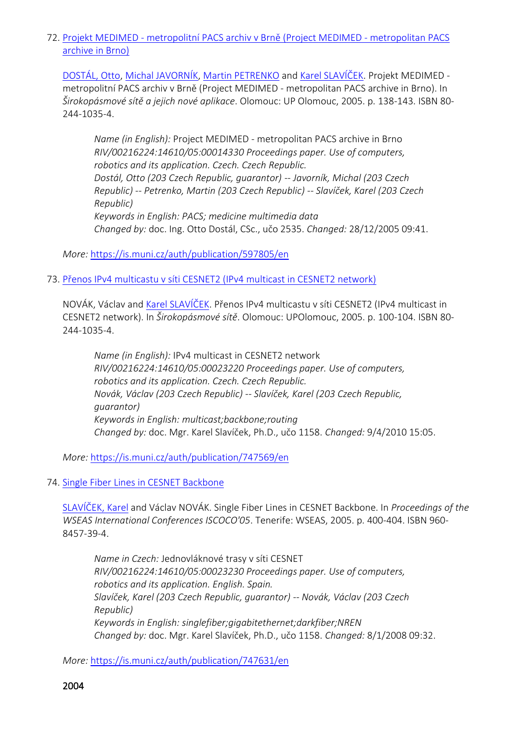72. Projekt MEDIMED - [metropolitní PACS archiv v Brně \(Project MEDIMED](https://is.muni.cz/auth/publication/597805/en?lang=en) - metropolitan PACS [archive in Brno\)](https://is.muni.cz/auth/publication/597805/en?lang=en)

[DOSTÁL, Otto](https://is.muni.cz/auth/person/2535?lang=en), [Michal JAVORNÍK](https://is.muni.cz/auth/person/1111?lang=en), [Martin PETRENKO](https://is.muni.cz/auth/person/31215?lang=en) and [Karel SLAVÍČEK](https://is.muni.cz/auth/person/1158?lang=en). Projekt MEDIMED metropolitní PACS archiv v Brně (Project MEDIMED - metropolitan PACS archive in Brno). In *Širokopásmové sítě a jejich nové aplikace*. Olomouc: UP Olomouc, 2005. p. 138-143. ISBN 80- 244-1035-4.

*Name (in English):* Project MEDIMED - metropolitan PACS archive in Brno *RIV/00216224:14610/05:00014330 Proceedings paper. Use of computers, robotics and its application. Czech. Czech Republic. Dostál, Otto (203 Czech Republic, guarantor) -- Javorník, Michal (203 Czech Republic) -- Petrenko, Martin (203 Czech Republic) -- Slavíček, Karel (203 Czech Republic) Keywords in English: PACS; medicine multimedia data Changed by:* doc. Ing. Otto Dostál, CSc., učo 2535. *Changed:* 28/12/2005 09:41.

*More:* [https://is.muni.cz/auth/publication/597805/en](https://is.muni.cz/auth/publication/597805/en/Projekt-MEDIMED-metropolitni-PACS-archiv-v-Brne/Dostal-Javornik-Petrenko-Slavicek?lang=en)

73. [Přenos IPv4 multicastu v síti CESNET2 \(IPv4 multicast in CESNET2 network\)](https://is.muni.cz/auth/publication/747569/en?lang=en)

NOVÁK, Václav and [Karel SLAVÍČEK.](https://is.muni.cz/auth/person/1158?lang=en) Přenos IPv4 multicastu v síti CESNET2 (IPv4 multicast in CESNET2 network). In *Širokopásmové sítě*. Olomouc: UPOlomouc, 2005. p. 100-104. ISBN 80- 244-1035-4.

*Name (in English):* IPv4 multicast in CESNET2 network *RIV/00216224:14610/05:00023220 Proceedings paper. Use of computers, robotics and its application. Czech. Czech Republic. Novák, Václav (203 Czech Republic) -- Slavíček, Karel (203 Czech Republic, guarantor) Keywords in English: multicast;backbone;routing Changed by:* doc. Mgr. Karel Slavíček, Ph.D., učo 1158. *Changed:* 9/4/2010 15:05.

*More:* [https://is.muni.cz/auth/publication/747569/en](https://is.muni.cz/auth/publication/747569/en/Prenos-IPv4-multicastu-v-siti-CESNET2/Novak-Slavicek?lang=en)

74. [Single Fiber Lines in CESNET Backbone](https://is.muni.cz/auth/publication/747631/en?lang=en)

[SLAVÍČEK, Karel](https://is.muni.cz/auth/person/1158?lang=en) and Václav NOVÁK. Single Fiber Lines in CESNET Backbone. In *Proceedings of the WSEAS International Conferences ISCOCO'05*. Tenerife: WSEAS, 2005. p. 400-404. ISBN 960- 8457-39-4.

*Name in Czech:* Jednovláknové trasy v síti CESNET *RIV/00216224:14610/05:00023230 Proceedings paper. Use of computers, robotics and its application. English. Spain. Slavíček, Karel (203 Czech Republic, guarantor) -- Novák, Václav (203 Czech Republic) Keywords in English: singlefiber;gigabitethernet;darkfiber;NREN Changed by:* doc. Mgr. Karel Slavíček, Ph.D., učo 1158. *Changed:* 8/1/2008 09:32.

*More:* [https://is.muni.cz/auth/publication/747631/en](https://is.muni.cz/auth/publication/747631/en/Single-Fiber-Lines-in-CESNET-Backbone/Slavicek-Novak?lang=en)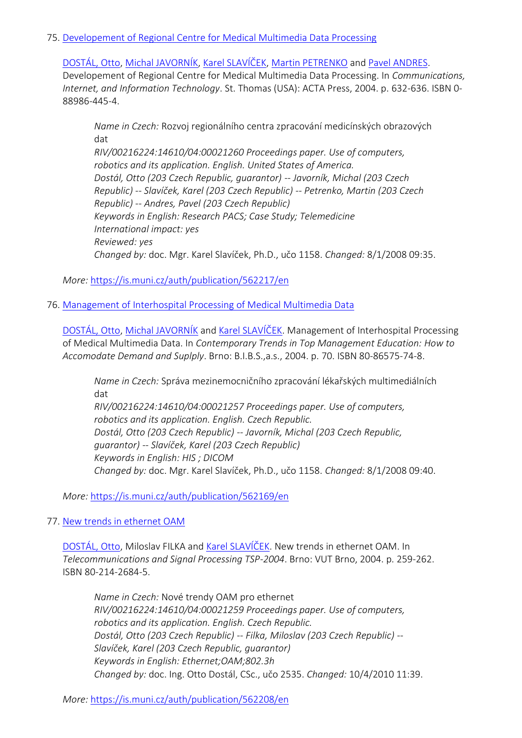### 75. [Developement of Regional Centre for Medical Multimedia Data Processing](https://is.muni.cz/auth/publication/562217/en?lang=en)

[DOSTÁL, Otto](https://is.muni.cz/auth/person/2535?lang=en), [Michal JAVORNÍK](https://is.muni.cz/auth/person/1111?lang=en), [Karel SLAVÍČEK](https://is.muni.cz/auth/person/1158?lang=en), [Martin PETRENKO](https://is.muni.cz/auth/person/31215?lang=en) and [Pavel ANDRES.](https://is.muni.cz/auth/person/96602?lang=en) Developement of Regional Centre for Medical Multimedia Data Processing. In *Communications, Internet, and Information Technology*. St. Thomas (USA): ACTA Press, 2004. p. 632-636. ISBN 0- 88986-445-4.

*Name in Czech:* Rozvoj regionálního centra zpracování medicínských obrazových dat *RIV/00216224:14610/04:00021260 Proceedings paper. Use of computers, robotics and its application. English. United States of America. Dostál, Otto (203 Czech Republic, guarantor) -- Javorník, Michal (203 Czech Republic) -- Slavíček, Karel (203 Czech Republic) -- Petrenko, Martin (203 Czech Republic) -- Andres, Pavel (203 Czech Republic) Keywords in English: Research PACS; Case Study; Telemedicine International impact: yes Reviewed: yes Changed by:* doc. Mgr. Karel Slavíček, Ph.D., učo 1158. *Changed:* 8/1/2008 09:35.

*More:* [https://is.muni.cz/auth/publication/562217/en](https://is.muni.cz/auth/publication/562217/en/Developement-of-Regional-Centre-for-Medical-Multimedia-Data-Processing/Dostal-Javornik-Slavicek-Petrenko?lang=en)

# 76. [Management of Interhospital Processing of Medical Multimedia Data](https://is.muni.cz/auth/publication/562169/en?lang=en)

[DOSTÁL, Otto](https://is.muni.cz/auth/person/2535?lang=en), [Michal JAVORNÍK](https://is.muni.cz/auth/person/1111?lang=en) and [Karel SLAVÍČEK](https://is.muni.cz/auth/person/1158?lang=en). Management of Interhospital Processing of Medical Multimedia Data. In *Contemporary Trends in Top Management Education: How to Accomodate Demand and Suplply*. Brno: B.I.B.S.,a.s., 2004. p. 70. ISBN 80-86575-74-8.

*Name in Czech:* Správa mezinemocničního zpracování lékařských multimediálních dat

*RIV/00216224:14610/04:00021257 Proceedings paper. Use of computers, robotics and its application. English. Czech Republic. Dostál, Otto (203 Czech Republic) -- Javorník, Michal (203 Czech Republic, guarantor) -- Slavíček, Karel (203 Czech Republic) Keywords in English: HIS ; DICOM Changed by:* doc. Mgr. Karel Slavíček, Ph.D., učo 1158. *Changed:* 8/1/2008 09:40.

*More:* [https://is.muni.cz/auth/publication/562169/en](https://is.muni.cz/auth/publication/562169/en/Management-of-Interhospital-Processing-of-Medical-Multimedia-Data/Dostal-Javornik-Slavicek?lang=en)

# 77. [New trends in ethernet OAM](https://is.muni.cz/auth/publication/562208/en?lang=en)

[DOSTÁL, Otto](https://is.muni.cz/auth/person/2535?lang=en), Miloslav FILKA and [Karel SLAVÍČEK](https://is.muni.cz/auth/person/1158?lang=en). New trends in ethernet OAM. In *Telecommunications and Signal Processing TSP-2004*. Brno: VUT Brno, 2004. p. 259-262. ISBN 80-214-2684-5.

*Name in Czech:* Nové trendy OAM pro ethernet *RIV/00216224:14610/04:00021259 Proceedings paper. Use of computers, robotics and its application. English. Czech Republic. Dostál, Otto (203 Czech Republic) -- Filka, Miloslav (203 Czech Republic) -- Slavíček, Karel (203 Czech Republic, guarantor) Keywords in English: Ethernet;OAM;802.3h Changed by:* doc. Ing. Otto Dostál, CSc., učo 2535. *Changed:* 10/4/2010 11:39.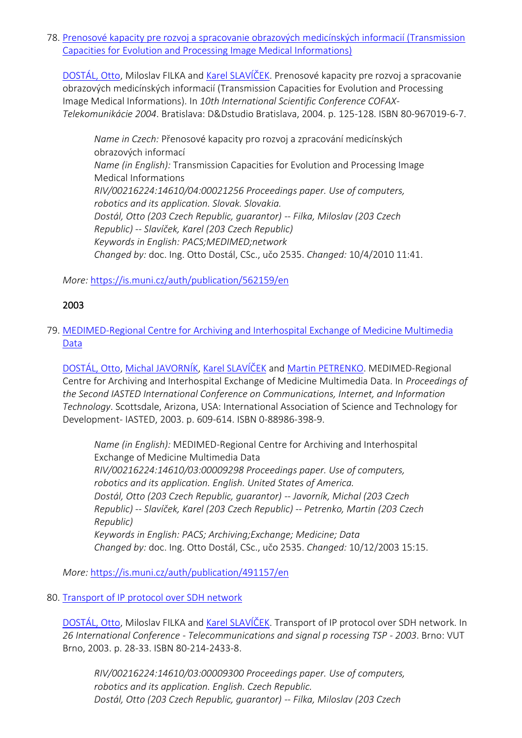78. [Prenosové kapacity pre rozvoj a spracovanie obrazových medicínských informacií \(Transmission](https://is.muni.cz/auth/publication/562159/en?lang=en)  [Capacities for Evolution and Processing Image Medical Informations\)](https://is.muni.cz/auth/publication/562159/en?lang=en)

[DOSTÁL, Otto](https://is.muni.cz/auth/person/2535?lang=en), Miloslav FILKA and [Karel SLAVÍČEK.](https://is.muni.cz/auth/person/1158?lang=en) Prenosové kapacity pre rozvoj a spracovanie obrazových medicínských informacií (Transmission Capacities for Evolution and Processing Image Medical Informations). In *10th International Scientific Conference COFAX-Telekomunikácie 2004*. Bratislava: D&Dstudio Bratislava, 2004. p. 125-128. ISBN 80-967019-6-7.

*Name in Czech:* Přenosové kapacity pro rozvoj a zpracování medicínských obrazových informací *Name (in English):* Transmission Capacities for Evolution and Processing Image Medical Informations *RIV/00216224:14610/04:00021256 Proceedings paper. Use of computers, robotics and its application. Slovak. Slovakia. Dostál, Otto (203 Czech Republic, guarantor) -- Filka, Miloslav (203 Czech Republic) -- Slavíček, Karel (203 Czech Republic) Keywords in English: PACS;MEDIMED;network Changed by:* doc. Ing. Otto Dostál, CSc., učo 2535. *Changed:* 10/4/2010 11:41.

*More:* [https://is.muni.cz/auth/publication/562159/en](https://is.muni.cz/auth/publication/562159/en/Prenosove-kapacity-pre-rozvoj-a-spracovanie-obrazovych-medicinskych-informacii/Dostal-Filka-Slavicek?lang=en)

# 2003

79. [MEDIMED-Regional Centre for Archiving and Interhospital Exchange of Medicine Multimedia](https://is.muni.cz/auth/publication/491157/en?lang=en)  [Data](https://is.muni.cz/auth/publication/491157/en?lang=en)

[DOSTÁL, Otto](https://is.muni.cz/auth/person/2535?lang=en), [Michal JAVORNÍK](https://is.muni.cz/auth/person/1111?lang=en), [Karel SLAVÍČEK](https://is.muni.cz/auth/person/1158?lang=en) and [Martin PETRENKO.](https://is.muni.cz/auth/person/31215?lang=en) MEDIMED-Regional Centre for Archiving and Interhospital Exchange of Medicine Multimedia Data. In *Proceedings of the Second IASTED International Conference on Communications, Internet, and Information Technology*. Scottsdale, Arizona, USA: International Association of Science and Technology for Development- IASTED, 2003. p. 609-614. ISBN 0-88986-398-9.

*Name (in English):* MEDIMED-Regional Centre for Archiving and Interhospital Exchange of Medicine Multimedia Data *RIV/00216224:14610/03:00009298 Proceedings paper. Use of computers, robotics and its application. English. United States of America. Dostál, Otto (203 Czech Republic, guarantor) -- Javorník, Michal (203 Czech Republic) -- Slavíček, Karel (203 Czech Republic) -- Petrenko, Martin (203 Czech Republic) Keywords in English: PACS; Archiving;Exchange; Medicine; Data Changed by:* doc. Ing. Otto Dostál, CSc., učo 2535. *Changed:* 10/12/2003 15:15.

*More:* [https://is.muni.cz/auth/publication/491157/en](https://is.muni.cz/auth/publication/491157/en/MEDIMED-Regional-Centre-for-Archiving-and-Interhospital-Exchange-of-Medicine-Multimedia-Data/Dostal-Javornik-Slavicek-Petrenko?lang=en)

#### 80. [Transport of IP protocol over SDH network](https://is.muni.cz/auth/publication/491194/en?lang=en)

[DOSTÁL, Otto](https://is.muni.cz/auth/person/2535?lang=en), Miloslav FILKA and [Karel SLAVÍČEK](https://is.muni.cz/auth/person/1158?lang=en). Transport of IP protocol over SDH network. In *26 International Conference - Telecommunications and signal p rocessing TSP - 2003*. Brno: VUT Brno, 2003. p. 28-33. ISBN 80-214-2433-8.

*RIV/00216224:14610/03:00009300 Proceedings paper. Use of computers, robotics and its application. English. Czech Republic. Dostál, Otto (203 Czech Republic, guarantor) -- Filka, Miloslav (203 Czech*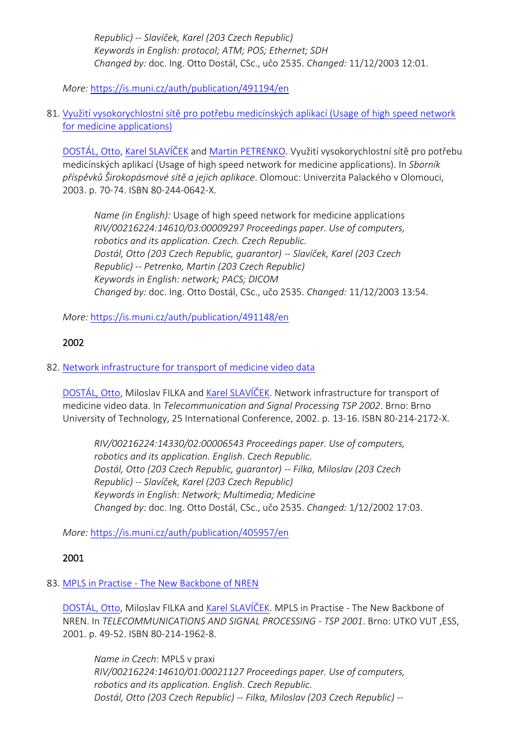*Republic) -- Slavíček, Karel (203 Czech Republic) Keywords in English: protocol; ATM; POS; Ethernet; SDH Changed by:* doc. Ing. Otto Dostál, CSc., učo 2535. *Changed:* 11/12/2003 12:01.

*More:* [https://is.muni.cz/auth/publication/491194/en](https://is.muni.cz/auth/publication/491194/en/Transport-of-IP-protocol-over-SDH-network/Dostal-Filka-Slavicek?lang=en)

81. [Využití vysokorychlostní sítě pro potřebu medicínských aplikací \(Usage of high speed network](https://is.muni.cz/auth/publication/491148/en?lang=en)  [for medicine applications\)](https://is.muni.cz/auth/publication/491148/en?lang=en)

[DOSTÁL, Otto](https://is.muni.cz/auth/person/2535?lang=en), [Karel SLAVÍČEK](https://is.muni.cz/auth/person/1158?lang=en) and [Martin PETRENKO](https://is.muni.cz/auth/person/31215?lang=en). Využití vysokorychlostní sítě pro potřebu medicínských aplikací (Usage of high speed network for medicine applications). In *Sborník příspěvků Širokopásmové sítě a jejich aplikace*. Olomouc: Univerzita Palackého v Olomouci, 2003. p. 70-74. ISBN 80-244-0642-X.

*Name (in English):* Usage of high speed network for medicine applications *RIV/00216224:14610/03:00009297 Proceedings paper. Use of computers, robotics and its application. Czech. Czech Republic. Dostál, Otto (203 Czech Republic, guarantor) -- Slavíček, Karel (203 Czech Republic) -- Petrenko, Martin (203 Czech Republic) Keywords in English: network; PACS; DICOM Changed by:* doc. Ing. Otto Dostál, CSc., učo 2535. *Changed:* 11/12/2003 13:54.

*More:* [https://is.muni.cz/auth/publication/491148/en](https://is.muni.cz/auth/publication/491148/en/Vyuziti-vysokorychlostni-site-pro-potrebu-medicinskych-aplikaci/Dostal-Slavicek-Petrenko?lang=en)

# 2002

# 82. [Network infrastructure for transport of medicine video data](https://is.muni.cz/auth/publication/405957/en?lang=en)

[DOSTÁL, Otto](https://is.muni.cz/auth/person/2535?lang=en), Miloslav FILKA and [Karel SLAVÍČEK](https://is.muni.cz/auth/person/1158?lang=en). Network infrastructure for transport of medicine video data. In *Telecommunication and Signal Processing TSP 2002*. Brno: Brno University of Technology, 25 International Conference, 2002. p. 13-16. ISBN 80-214-2172-X.

*RIV/00216224:14330/02:00006543 Proceedings paper. Use of computers, robotics and its application. English. Czech Republic. Dostál, Otto (203 Czech Republic, guarantor) -- Filka, Miloslav (203 Czech Republic) -- Slavíček, Karel (203 Czech Republic) Keywords in English: Network; Multimedia; Medicine Changed by:* doc. Ing. Otto Dostál, CSc., učo 2535. *Changed:* 1/12/2002 17:03.

*More:* [https://is.muni.cz/auth/publication/405957/en](https://is.muni.cz/auth/publication/405957/en/Network-infrastructure-for-transport-of-medicine-video-data/Dostal-Filka-Slavicek?lang=en)

# 2001

# 83. MPLS in Practise - [The New Backbone of NREN](https://is.muni.cz/auth/publication/368532/en?lang=en)

[DOSTÁL, Otto](https://is.muni.cz/auth/person/2535?lang=en), Miloslav FILKA and [Karel SLAVÍČEK](https://is.muni.cz/auth/person/1158?lang=en). MPLS in Practise - The New Backbone of NREN. In *TELECOMMUNICATIONS AND SIGNAL PROCESSING - TSP 2001*. Brno: UTKO VUT ,ESS, 2001. p. 49-52. ISBN 80-214-1962-8.

*Name in Czech:* MPLS v praxi *RIV/00216224:14610/01:00021127 Proceedings paper. Use of computers, robotics and its application. English. Czech Republic. Dostál, Otto (203 Czech Republic) -- Filka, Miloslav (203 Czech Republic) --*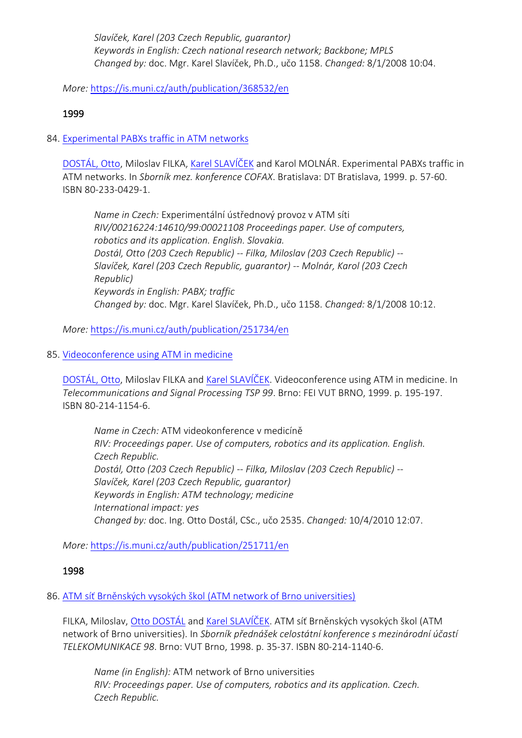*Slavíček, Karel (203 Czech Republic, guarantor) Keywords in English: Czech national research network; Backbone; MPLS Changed by:* doc. Mgr. Karel Slavíček, Ph.D., učo 1158. *Changed:* 8/1/2008 10:04.

*More:* [https://is.muni.cz/auth/publication/368532/en](https://is.muni.cz/auth/publication/368532/en/MPLS-in-Practise-The-New-Backbone-of-NREN/Dostal-Filka-Slavicek?lang=en)

# 1999

# 84. [Experimental PABXs traffic in ATM networks](https://is.muni.cz/auth/publication/251734/en?lang=en)

[DOSTÁL, Otto](https://is.muni.cz/auth/person/2535?lang=en), Miloslav FILKA, [Karel SLAVÍČEK](https://is.muni.cz/auth/person/1158?lang=en) and Karol MOLNÁR. Experimental PABXs traffic in ATM networks. In *Sborník mez. konference COFAX*. Bratislava: DT Bratislava, 1999. p. 57-60. ISBN 80-233-0429-1.

*Name in Czech:* Experimentální ústřednový provoz v ATM síti *RIV/00216224:14610/99:00021108 Proceedings paper. Use of computers, robotics and its application. English. Slovakia. Dostál, Otto (203 Czech Republic) -- Filka, Miloslav (203 Czech Republic) -- Slavíček, Karel (203 Czech Republic, guarantor) -- Molnár, Karol (203 Czech Republic) Keywords in English: PABX; traffic Changed by:* doc. Mgr. Karel Slavíček, Ph.D., učo 1158. *Changed:* 8/1/2008 10:12.

*More:* [https://is.muni.cz/auth/publication/251734/en](https://is.muni.cz/auth/publication/251734/en/Experimental-PABXs-traffic-in-ATM-networks/Dostal-Filka-Slavicek-Molnar?lang=en)

# 85. [Videoconference using ATM in medicine](https://is.muni.cz/auth/publication/251711/en?lang=en)

[DOSTÁL, Ott](https://is.muni.cz/auth/person/2535?lang=en)o, Miloslav FILKA and [Karel SLAVÍČEK](https://is.muni.cz/auth/person/1158?lang=en). Videoconference using ATM in medicine. In *Telecommunications and Signal Processing TSP 99*. Brno: FEI VUT BRNO, 1999. p. 195-197. ISBN 80-214-1154-6.

*Name in Czech:* ATM videokonference v medicíně *RIV: Proceedings paper. Use of computers, robotics and its application. English. Czech Republic. Dostál, Otto (203 Czech Republic) -- Filka, Miloslav (203 Czech Republic) -- Slavíček, Karel (203 Czech Republic, guarantor) Keywords in English: ATM technology; medicine International impact: yes Changed by:* doc. Ing. Otto Dostál, CSc., učo 2535. *Changed:* 10/4/2010 12:07.

*More:* [https://is.muni.cz/auth/publication/251711/en](https://is.muni.cz/auth/publication/251711/en/Videoconference-using-ATM-in-medicine/Dostal-Filka-Slavicek?lang=en)

# 1998

# 86. [ATM síť Brněnských vysokých škol \(ATM network of Brno universities\)](https://is.muni.cz/auth/publication/366229/en?lang=en)

FILKA, Miloslav, [Otto DOSTÁL](https://is.muni.cz/auth/person/2535?lang=en) and [Karel SLAVÍČEK.](https://is.muni.cz/auth/person/1158?lang=en) ATM síť Brněnských vysokých škol (ATM network of Brno universities). In *Sborník přednášek celostátní konference s mezinárodní účastí TELEKOMUNIKACE 98*. Brno: VUT Brno, 1998. p. 35-37. ISBN 80-214-1140-6.

*Name (in English):* ATM network of Brno universities *RIV: Proceedings paper. Use of computers, robotics and its application. Czech. Czech Republic.*